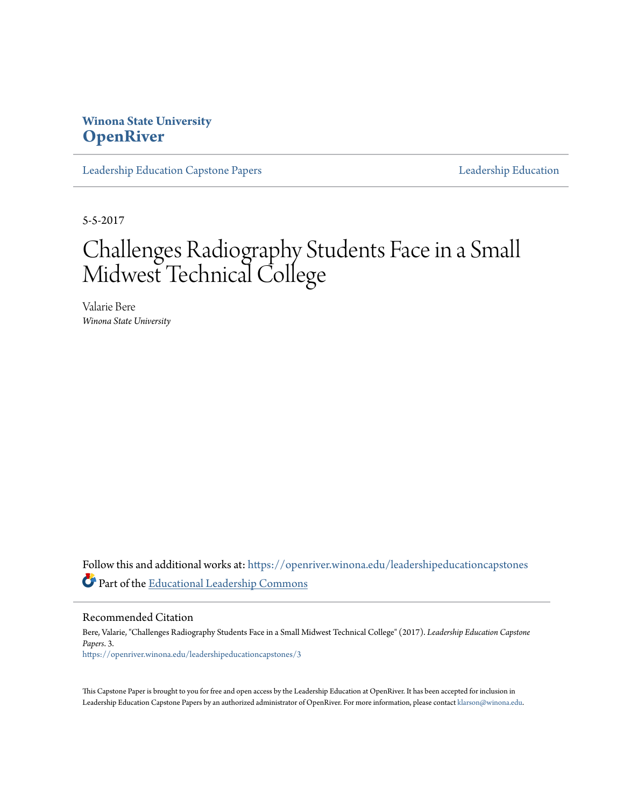# **Winona State University [OpenRiver](https://openriver.winona.edu?utm_source=openriver.winona.edu%2Fleadershipeducationcapstones%2F3&utm_medium=PDF&utm_campaign=PDFCoverPages)**

[Leadership Education Capstone Papers](https://openriver.winona.edu/leadershipeducationcapstones?utm_source=openriver.winona.edu%2Fleadershipeducationcapstones%2F3&utm_medium=PDF&utm_campaign=PDFCoverPages) [Leadership Education](https://openriver.winona.edu/leadershipeducation?utm_source=openriver.winona.edu%2Fleadershipeducationcapstones%2F3&utm_medium=PDF&utm_campaign=PDFCoverPages)

5-5-2017

# Challenges Radiography Students Face in a Small Midwest Technical College

Valarie Bere *Winona State University*

Follow this and additional works at: [https://openriver.winona.edu/leadershipeducationcapstones](https://openriver.winona.edu/leadershipeducationcapstones?utm_source=openriver.winona.edu%2Fleadershipeducationcapstones%2F3&utm_medium=PDF&utm_campaign=PDFCoverPages) Part of the [Educational Leadership Commons](http://network.bepress.com/hgg/discipline/1230?utm_source=openriver.winona.edu%2Fleadershipeducationcapstones%2F3&utm_medium=PDF&utm_campaign=PDFCoverPages)

Recommended Citation

Bere, Valarie, "Challenges Radiography Students Face in a Small Midwest Technical College" (2017). *Leadership Education Capstone Papers*. 3. [https://openriver.winona.edu/leadershipeducationcapstones/3](https://openriver.winona.edu/leadershipeducationcapstones/3?utm_source=openriver.winona.edu%2Fleadershipeducationcapstones%2F3&utm_medium=PDF&utm_campaign=PDFCoverPages)

This Capstone Paper is brought to you for free and open access by the Leadership Education at OpenRiver. It has been accepted for inclusion in Leadership Education Capstone Papers by an authorized administrator of OpenRiver. For more information, please contact [klarson@winona.edu.](mailto:klarson@winona.edu)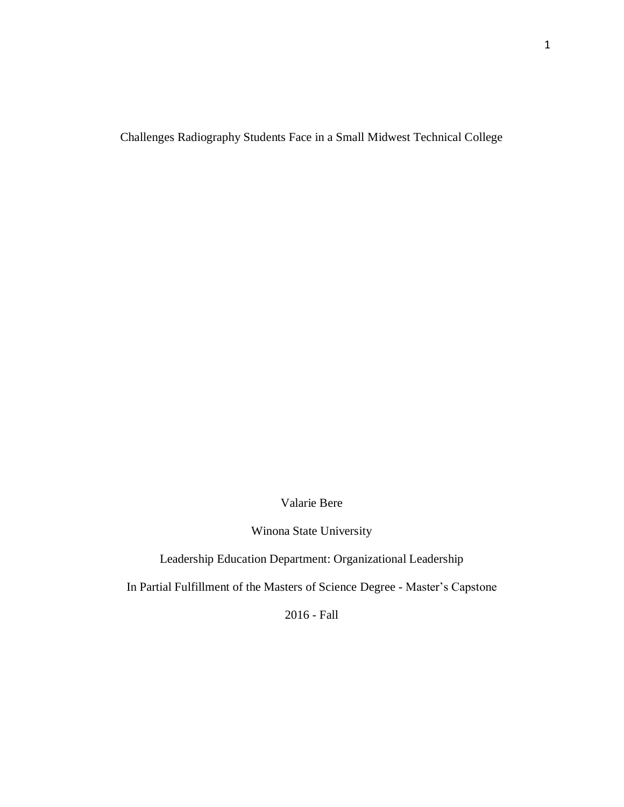Challenges Radiography Students Face in a Small Midwest Technical College

Valarie Bere

Winona State University

Leadership Education Department: Organizational Leadership

In Partial Fulfillment of the Masters of Science Degree - Master's Capstone

2016 - Fall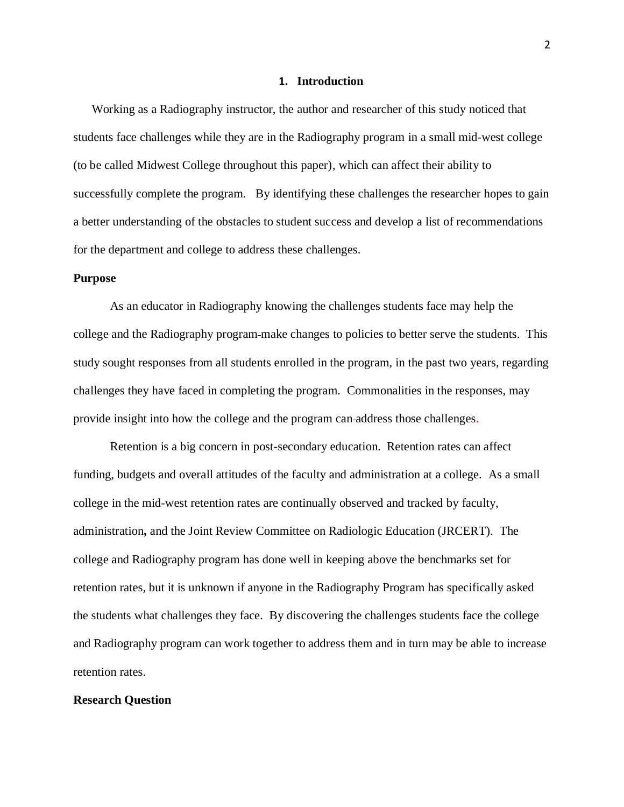#### **1. Introduction**

Working as a Radiography instructor, the author and researcher of this study noticed that students face challenges while they are in the Radiography program in a small mid-west college (to be called Midwest College throughout this paper), which can affect their ability to successfully complete the program. By identifying these challenges the researcher hopes to gain a better understanding of the obstacles to student success and develop a list of recommendations for the department and college to address these challenges.

## **Purpose**

As an educator in Radiography knowing the challenges students face may help the college and the Radiography program make changes to policies to better serve the students. This study sought responses from all students enrolled in the program, in the past two years, regarding challenges they have faced in completing the program. Commonalities in the responses, may provide insight into how the college and the program can address those challenges.

Retention is a big concern in post-secondary education. Retention rates can affect funding, budgets and overall attitudes of the faculty and administration at a college. As a small college in the mid-west retention rates are continually observed and tracked by faculty, administration**,** and the Joint Review Committee on Radiologic Education (JRCERT). The college and Radiography program has done well in keeping above the benchmarks set for retention rates, but it is unknown if anyone in the Radiography Program has specifically asked the students what challenges they face. By discovering the challenges students face the college and Radiography program can work together to address them and in turn may be able to increase retention rates.

#### **Research Question**

2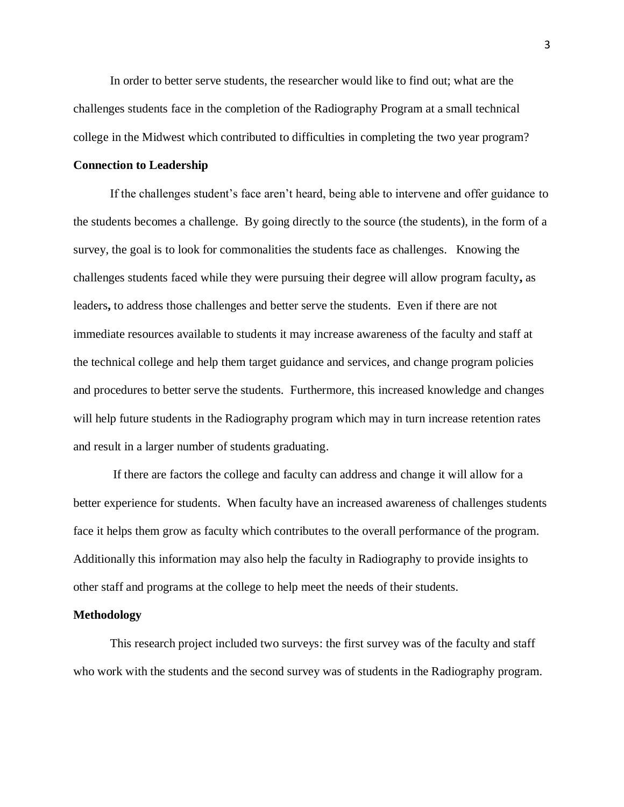In order to better serve students, the researcher would like to find out; what are the challenges students face in the completion of the Radiography Program at a small technical college in the Midwest which contributed to difficulties in completing the two year program?

#### **Connection to Leadership**

If the challenges student's face aren't heard, being able to intervene and offer guidance to the students becomes a challenge. By going directly to the source (the students), in the form of a survey, the goal is to look for commonalities the students face as challenges. Knowing the challenges students faced while they were pursuing their degree will allow program faculty**,** as leaders**,** to address those challenges and better serve the students. Even if there are not immediate resources available to students it may increase awareness of the faculty and staff at the technical college and help them target guidance and services, and change program policies and procedures to better serve the students. Furthermore, this increased knowledge and changes will help future students in the Radiography program which may in turn increase retention rates and result in a larger number of students graduating.

If there are factors the college and faculty can address and change it will allow for a better experience for students. When faculty have an increased awareness of challenges students face it helps them grow as faculty which contributes to the overall performance of the program. Additionally this information may also help the faculty in Radiography to provide insights to other staff and programs at the college to help meet the needs of their students.

#### **Methodology**

This research project included two surveys: the first survey was of the faculty and staff who work with the students and the second survey was of students in the Radiography program.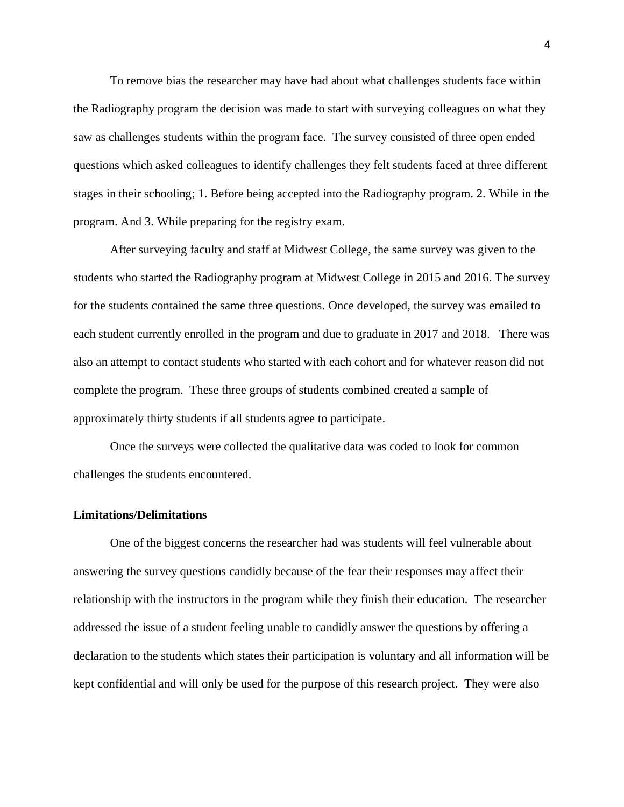To remove bias the researcher may have had about what challenges students face within the Radiography program the decision was made to start with surveying colleagues on what they saw as challenges students within the program face. The survey consisted of three open ended questions which asked colleagues to identify challenges they felt students faced at three different stages in their schooling; 1. Before being accepted into the Radiography program. 2. While in the program. And 3. While preparing for the registry exam.

After surveying faculty and staff at Midwest College, the same survey was given to the students who started the Radiography program at Midwest College in 2015 and 2016. The survey for the students contained the same three questions. Once developed, the survey was emailed to each student currently enrolled in the program and due to graduate in 2017 and 2018. There was also an attempt to contact students who started with each cohort and for whatever reason did not complete the program. These three groups of students combined created a sample of approximately thirty students if all students agree to participate.

Once the surveys were collected the qualitative data was coded to look for common challenges the students encountered.

#### **Limitations/Delimitations**

One of the biggest concerns the researcher had was students will feel vulnerable about answering the survey questions candidly because of the fear their responses may affect their relationship with the instructors in the program while they finish their education. The researcher addressed the issue of a student feeling unable to candidly answer the questions by offering a declaration to the students which states their participation is voluntary and all information will be kept confidential and will only be used for the purpose of this research project. They were also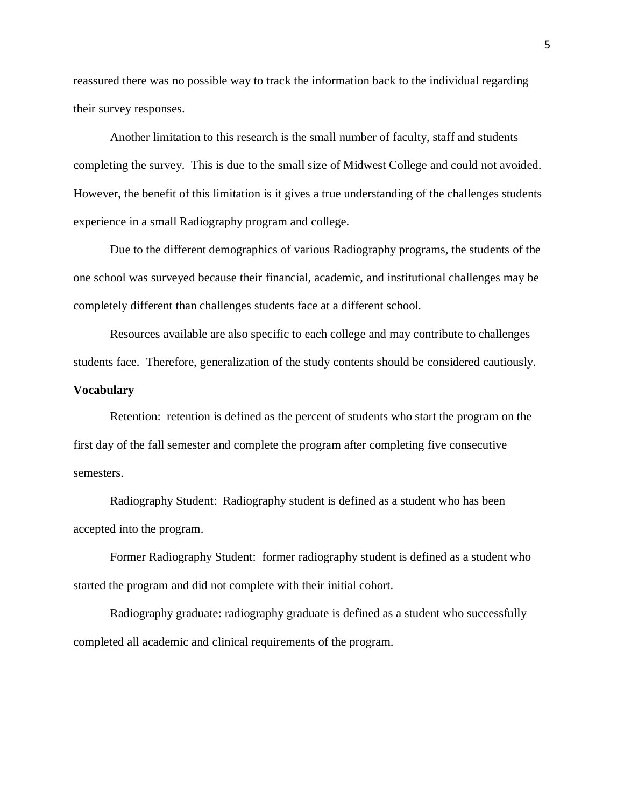reassured there was no possible way to track the information back to the individual regarding their survey responses.

Another limitation to this research is the small number of faculty, staff and students completing the survey. This is due to the small size of Midwest College and could not avoided. However, the benefit of this limitation is it gives a true understanding of the challenges students experience in a small Radiography program and college.

Due to the different demographics of various Radiography programs, the students of the one school was surveyed because their financial, academic, and institutional challenges may be completely different than challenges students face at a different school.

Resources available are also specific to each college and may contribute to challenges students face. Therefore, generalization of the study contents should be considered cautiously.

# **Vocabulary**

Retention: retention is defined as the percent of students who start the program on the first day of the fall semester and complete the program after completing five consecutive semesters.

Radiography Student: Radiography student is defined as a student who has been accepted into the program.

Former Radiography Student: former radiography student is defined as a student who started the program and did not complete with their initial cohort.

Radiography graduate: radiography graduate is defined as a student who successfully completed all academic and clinical requirements of the program.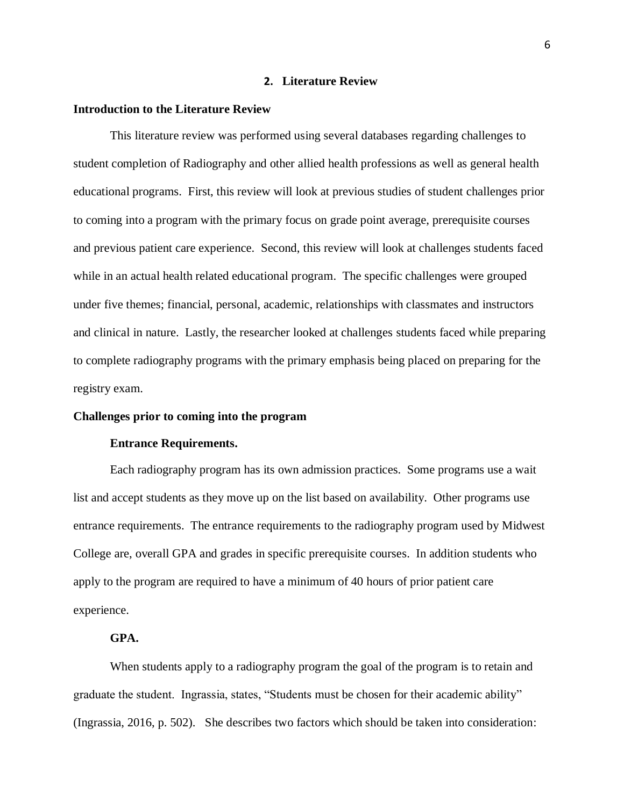#### **2. Literature Review**

# **Introduction to the Literature Review**

This literature review was performed using several databases regarding challenges to student completion of Radiography and other allied health professions as well as general health educational programs. First, this review will look at previous studies of student challenges prior to coming into a program with the primary focus on grade point average, prerequisite courses and previous patient care experience. Second, this review will look at challenges students faced while in an actual health related educational program. The specific challenges were grouped under five themes; financial, personal, academic, relationships with classmates and instructors and clinical in nature. Lastly, the researcher looked at challenges students faced while preparing to complete radiography programs with the primary emphasis being placed on preparing for the registry exam.

## **Challenges prior to coming into the program**

#### **Entrance Requirements.**

Each radiography program has its own admission practices. Some programs use a wait list and accept students as they move up on the list based on availability. Other programs use entrance requirements. The entrance requirements to the radiography program used by Midwest College are, overall GPA and grades in specific prerequisite courses. In addition students who apply to the program are required to have a minimum of 40 hours of prior patient care experience.

# **GPA.**

When students apply to a radiography program the goal of the program is to retain and graduate the student. Ingrassia, states, "Students must be chosen for their academic ability" (Ingrassia, 2016, p. 502). She describes two factors which should be taken into consideration: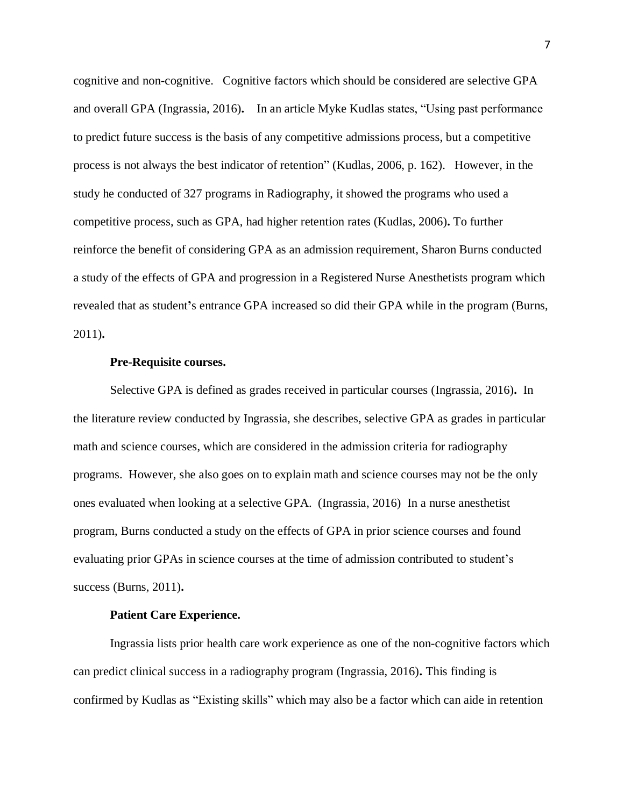cognitive and non-cognitive. Cognitive factors which should be considered are selective GPA and overall GPA (Ingrassia, 2016)**.** In an article Myke Kudlas states, "Using past performance to predict future success is the basis of any competitive admissions process, but a competitive process is not always the best indicator of retention" (Kudlas, 2006, p. 162). However, in the study he conducted of 327 programs in Radiography, it showed the programs who used a competitive process, such as GPA, had higher retention rates (Kudlas, 2006)**.** To further reinforce the benefit of considering GPA as an admission requirement, Sharon Burns conducted a study of the effects of GPA and progression in a Registered Nurse Anesthetists program which revealed that as student**'**s entrance GPA increased so did their GPA while in the program (Burns, 2011)**.**

#### **Pre-Requisite courses.**

Selective GPA is defined as grades received in particular courses (Ingrassia, 2016)**.** In the literature review conducted by Ingrassia, she describes, selective GPA as grades in particular math and science courses, which are considered in the admission criteria for radiography programs. However, she also goes on to explain math and science courses may not be the only ones evaluated when looking at a selective GPA. (Ingrassia, 2016) In a nurse anesthetist program, Burns conducted a study on the effects of GPA in prior science courses and found evaluating prior GPAs in science courses at the time of admission contributed to student's success (Burns, 2011)**.**

#### **Patient Care Experience.**

Ingrassia lists prior health care work experience as one of the non-cognitive factors which can predict clinical success in a radiography program (Ingrassia, 2016)**.** This finding is confirmed by Kudlas as "Existing skills" which may also be a factor which can aide in retention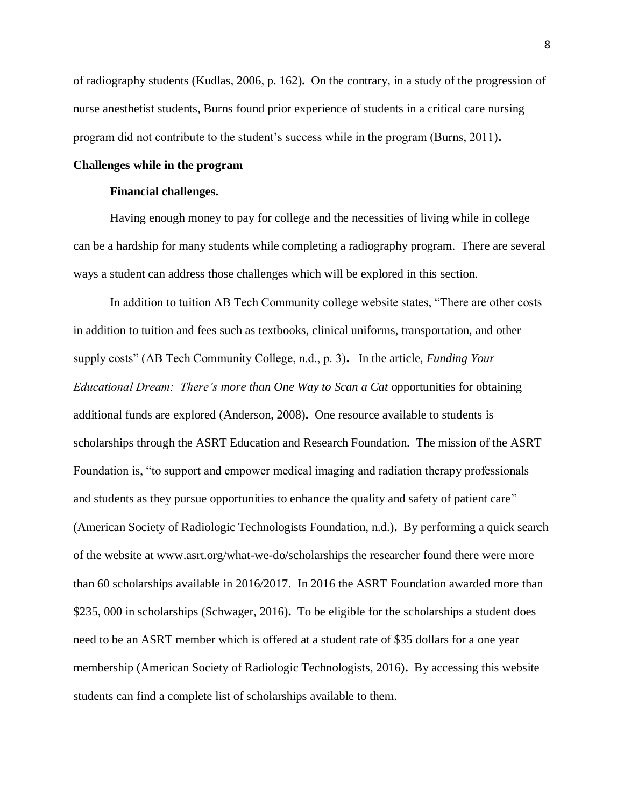of radiography students (Kudlas, 2006, p. 162)**.** On the contrary, in a study of the progression of nurse anesthetist students, Burns found prior experience of students in a critical care nursing program did not contribute to the student's success while in the program (Burns, 2011)**.**

#### **Challenges while in the program**

#### **Financial challenges.**

Having enough money to pay for college and the necessities of living while in college can be a hardship for many students while completing a radiography program. There are several ways a student can address those challenges which will be explored in this section.

In addition to tuition AB Tech Community college website states, "There are other costs in addition to tuition and fees such as textbooks, clinical uniforms, transportation, and other supply costs" (AB Tech Community College, n.d., p. 3)**.** In the article, *Funding Your Educational Dream: There's more than One Way to Scan a Cat* opportunities for obtaining additional funds are explored (Anderson, 2008)**.** One resource available to students is scholarships through the ASRT Education and Research Foundation. The mission of the ASRT Foundation is, "to support and empower medical imaging and radiation therapy professionals and students as they pursue opportunities to enhance the quality and safety of patient care" (American Society of Radiologic Technologists Foundation, n.d.)**.** By performing a quick search of the website at www.asrt.org/what-we-do/scholarships the researcher found there were more than 60 scholarships available in 2016/2017. In 2016 the ASRT Foundation awarded more than \$235, 000 in scholarships (Schwager, 2016)**.** To be eligible for the scholarships a student does need to be an ASRT member which is offered at a student rate of \$35 dollars for a one year membership (American Society of Radiologic Technologists, 2016)**.** By accessing this website students can find a complete list of scholarships available to them.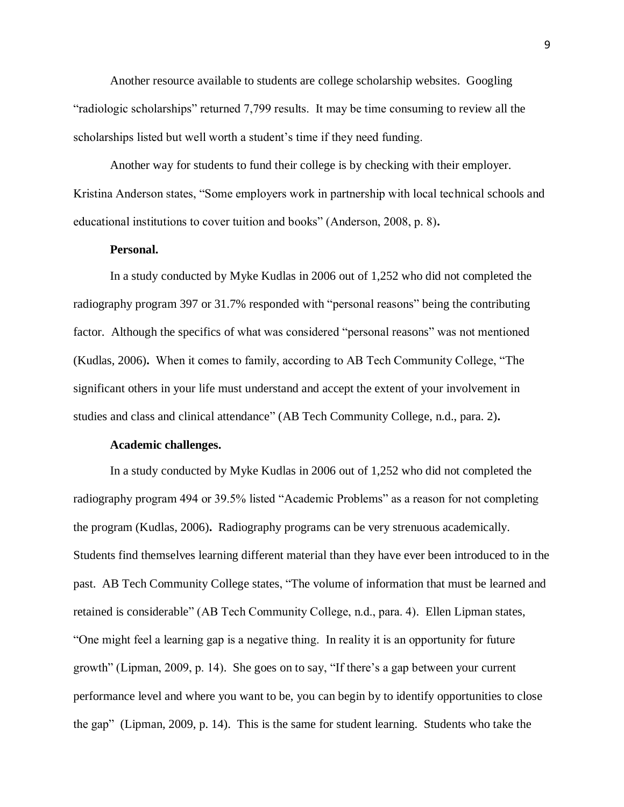Another resource available to students are college scholarship websites. Googling "radiologic scholarships" returned 7,799 results. It may be time consuming to review all the scholarships listed but well worth a student's time if they need funding.

Another way for students to fund their college is by checking with their employer. Kristina Anderson states, "Some employers work in partnership with local technical schools and educational institutions to cover tuition and books" (Anderson, 2008, p. 8)**.**

# **Personal.**

In a study conducted by Myke Kudlas in 2006 out of 1,252 who did not completed the radiography program 397 or 31.7% responded with "personal reasons" being the contributing factor. Although the specifics of what was considered "personal reasons" was not mentioned (Kudlas, 2006)**.** When it comes to family, according to AB Tech Community College, "The significant others in your life must understand and accept the extent of your involvement in studies and class and clinical attendance" (AB Tech Community College, n.d., para. 2)**.**

## **Academic challenges.**

In a study conducted by Myke Kudlas in 2006 out of 1,252 who did not completed the radiography program 494 or 39.5% listed "Academic Problems" as a reason for not completing the program (Kudlas, 2006)**.** Radiography programs can be very strenuous academically. Students find themselves learning different material than they have ever been introduced to in the past. AB Tech Community College states, "The volume of information that must be learned and retained is considerable" (AB Tech Community College, n.d., para. 4). Ellen Lipman states, "One might feel a learning gap is a negative thing. In reality it is an opportunity for future growth" (Lipman, 2009, p. 14). She goes on to say, "If there's a gap between your current performance level and where you want to be, you can begin by to identify opportunities to close the gap" (Lipman, 2009, p. 14). This is the same for student learning. Students who take the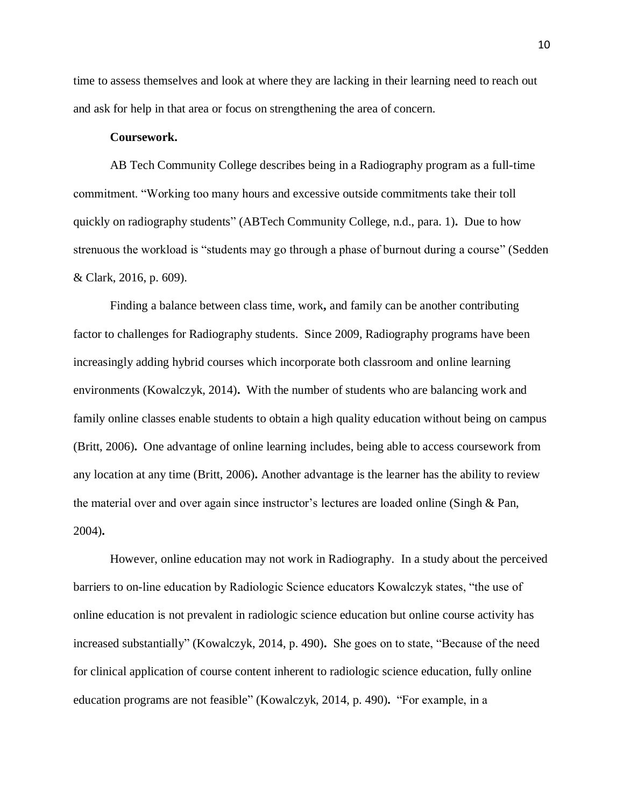time to assess themselves and look at where they are lacking in their learning need to reach out and ask for help in that area or focus on strengthening the area of concern.

# **Coursework.**

AB Tech Community College describes being in a Radiography program as a full-time commitment. "Working too many hours and excessive outside commitments take their toll quickly on radiography students" (ABTech Community College, n.d., para. 1)**.** Due to how strenuous the workload is "students may go through a phase of burnout during a course" (Sedden & Clark, 2016, p. 609).

Finding a balance between class time, work**,** and family can be another contributing factor to challenges for Radiography students. Since 2009, Radiography programs have been increasingly adding hybrid courses which incorporate both classroom and online learning environments (Kowalczyk, 2014)**.** With the number of students who are balancing work and family online classes enable students to obtain a high quality education without being on campus (Britt, 2006)**.** One advantage of online learning includes, being able to access coursework from any location at any time (Britt, 2006)**.** Another advantage is the learner has the ability to review the material over and over again since instructor's lectures are loaded online (Singh & Pan, 2004)**.**

However, online education may not work in Radiography. In a study about the perceived barriers to on-line education by Radiologic Science educators Kowalczyk states, "the use of online education is not prevalent in radiologic science education but online course activity has increased substantially" (Kowalczyk, 2014, p. 490)**.** She goes on to state, "Because of the need for clinical application of course content inherent to radiologic science education, fully online education programs are not feasible" (Kowalczyk, 2014, p. 490)**.** "For example, in a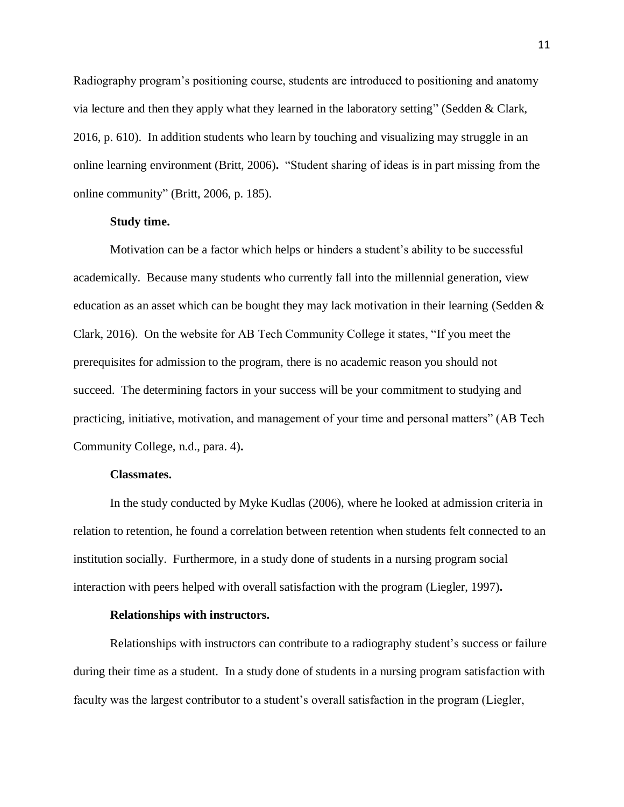Radiography program's positioning course, students are introduced to positioning and anatomy via lecture and then they apply what they learned in the laboratory setting" (Sedden & Clark, 2016, p. 610). In addition students who learn by touching and visualizing may struggle in an online learning environment (Britt, 2006)**.** "Student sharing of ideas is in part missing from the online community" (Britt, 2006, p. 185).

# **Study time.**

Motivation can be a factor which helps or hinders a student's ability to be successful academically. Because many students who currently fall into the millennial generation, view education as an asset which can be bought they may lack motivation in their learning (Sedden & Clark, 2016). On the website for AB Tech Community College it states, "If you meet the prerequisites for admission to the program, there is no academic reason you should not succeed. The determining factors in your success will be your commitment to studying and practicing, initiative, motivation, and management of your time and personal matters" (AB Tech Community College, n.d., para. 4)**.**

## **Classmates.**

In the study conducted by Myke Kudlas (2006), where he looked at admission criteria in relation to retention, he found a correlation between retention when students felt connected to an institution socially. Furthermore, in a study done of students in a nursing program social interaction with peers helped with overall satisfaction with the program (Liegler, 1997)**.**

#### **Relationships with instructors.**

Relationships with instructors can contribute to a radiography student's success or failure during their time as a student. In a study done of students in a nursing program satisfaction with faculty was the largest contributor to a student's overall satisfaction in the program (Liegler,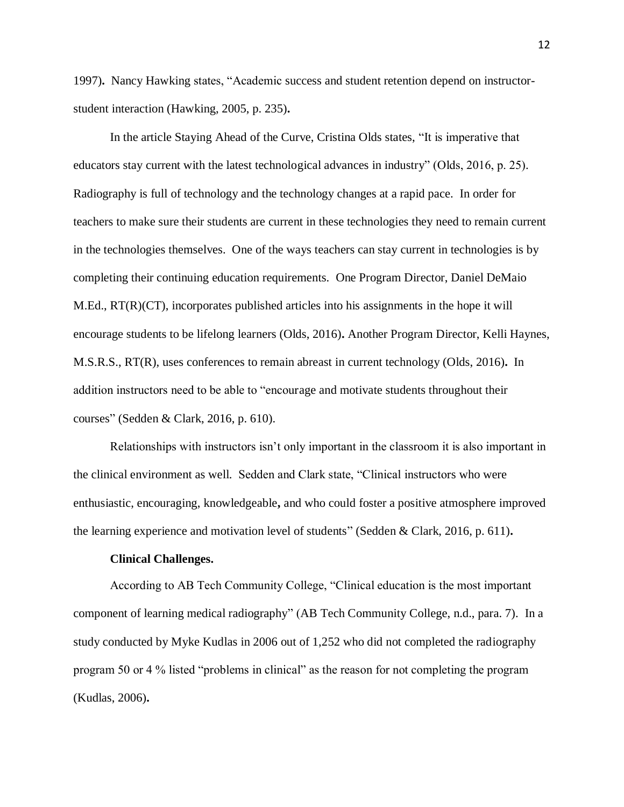1997)**.** Nancy Hawking states, "Academic success and student retention depend on instructorstudent interaction (Hawking, 2005, p. 235)**.**

In the article Staying Ahead of the Curve, Cristina Olds states, "It is imperative that educators stay current with the latest technological advances in industry" (Olds, 2016, p. 25). Radiography is full of technology and the technology changes at a rapid pace. In order for teachers to make sure their students are current in these technologies they need to remain current in the technologies themselves. One of the ways teachers can stay current in technologies is by completing their continuing education requirements. One Program Director, Daniel DeMaio M.Ed., RT(R)(CT), incorporates published articles into his assignments in the hope it will encourage students to be lifelong learners (Olds, 2016)**.** Another Program Director, Kelli Haynes, M.S.R.S., RT(R), uses conferences to remain abreast in current technology (Olds, 2016)**.** In addition instructors need to be able to "encourage and motivate students throughout their courses" (Sedden & Clark, 2016, p. 610).

Relationships with instructors isn't only important in the classroom it is also important in the clinical environment as well. Sedden and Clark state, "Clinical instructors who were enthusiastic, encouraging, knowledgeable**,** and who could foster a positive atmosphere improved the learning experience and motivation level of students" (Sedden & Clark, 2016, p. 611)**.**

#### **Clinical Challenges.**

According to AB Tech Community College, "Clinical education is the most important component of learning medical radiography" (AB Tech Community College, n.d., para. 7). In a study conducted by Myke Kudlas in 2006 out of 1,252 who did not completed the radiography program 50 or 4 % listed "problems in clinical" as the reason for not completing the program (Kudlas, 2006)**.**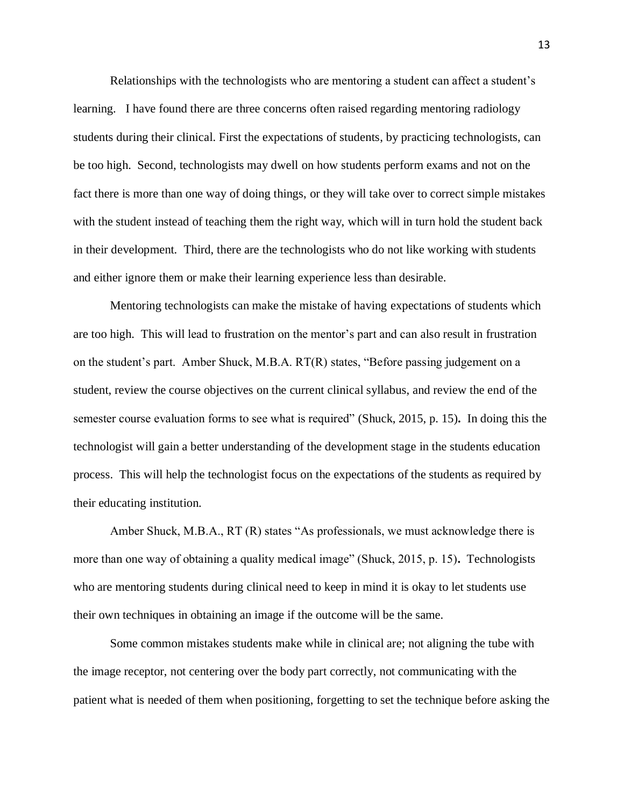Relationships with the technologists who are mentoring a student can affect a student's learning. I have found there are three concerns often raised regarding mentoring radiology students during their clinical. First the expectations of students, by practicing technologists, can be too high. Second, technologists may dwell on how students perform exams and not on the fact there is more than one way of doing things, or they will take over to correct simple mistakes with the student instead of teaching them the right way, which will in turn hold the student back in their development. Third, there are the technologists who do not like working with students and either ignore them or make their learning experience less than desirable.

Mentoring technologists can make the mistake of having expectations of students which are too high. This will lead to frustration on the mentor's part and can also result in frustration on the student's part. Amber Shuck, M.B.A. RT(R) states, "Before passing judgement on a student, review the course objectives on the current clinical syllabus, and review the end of the semester course evaluation forms to see what is required" (Shuck, 2015, p. 15)**.** In doing this the technologist will gain a better understanding of the development stage in the students education process. This will help the technologist focus on the expectations of the students as required by their educating institution.

Amber Shuck, M.B.A., RT (R) states "As professionals, we must acknowledge there is more than one way of obtaining a quality medical image" (Shuck, 2015, p. 15)**.** Technologists who are mentoring students during clinical need to keep in mind it is okay to let students use their own techniques in obtaining an image if the outcome will be the same.

Some common mistakes students make while in clinical are; not aligning the tube with the image receptor, not centering over the body part correctly, not communicating with the patient what is needed of them when positioning, forgetting to set the technique before asking the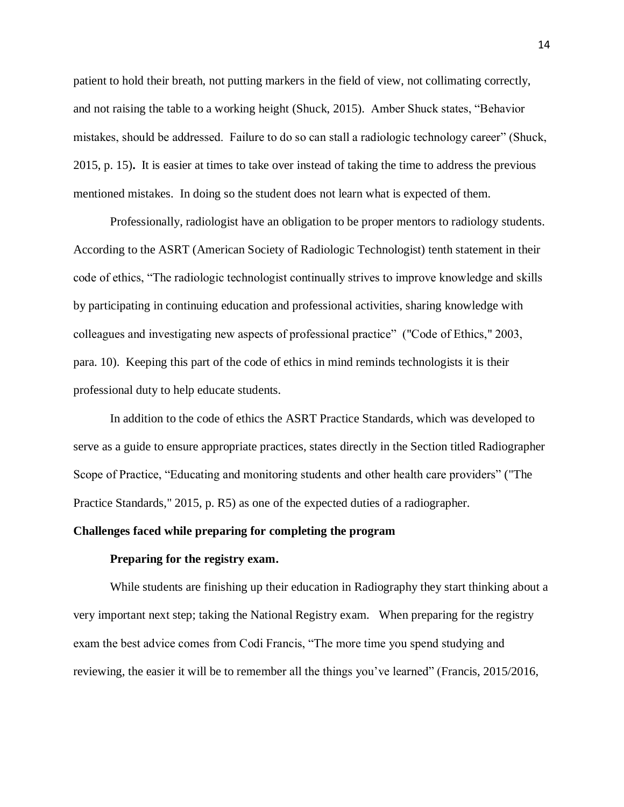patient to hold their breath, not putting markers in the field of view, not collimating correctly, and not raising the table to a working height (Shuck, 2015). Amber Shuck states, "Behavior mistakes, should be addressed. Failure to do so can stall a radiologic technology career" (Shuck, 2015, p. 15)**.** It is easier at times to take over instead of taking the time to address the previous mentioned mistakes. In doing so the student does not learn what is expected of them.

Professionally, radiologist have an obligation to be proper mentors to radiology students. According to the ASRT (American Society of Radiologic Technologist) tenth statement in their code of ethics, "The radiologic technologist continually strives to improve knowledge and skills by participating in continuing education and professional activities, sharing knowledge with colleagues and investigating new aspects of professional practice" ("Code of Ethics," 2003, para. 10). Keeping this part of the code of ethics in mind reminds technologists it is their professional duty to help educate students.

In addition to the code of ethics the ASRT Practice Standards, which was developed to serve as a guide to ensure appropriate practices, states directly in the Section titled Radiographer Scope of Practice, "Educating and monitoring students and other health care providers" ("The Practice Standards," 2015, p. R5) as one of the expected duties of a radiographer.

## **Challenges faced while preparing for completing the program**

## **Preparing for the registry exam.**

While students are finishing up their education in Radiography they start thinking about a very important next step; taking the National Registry exam. When preparing for the registry exam the best advice comes from Codi Francis, "The more time you spend studying and reviewing, the easier it will be to remember all the things you've learned" (Francis, 2015/2016,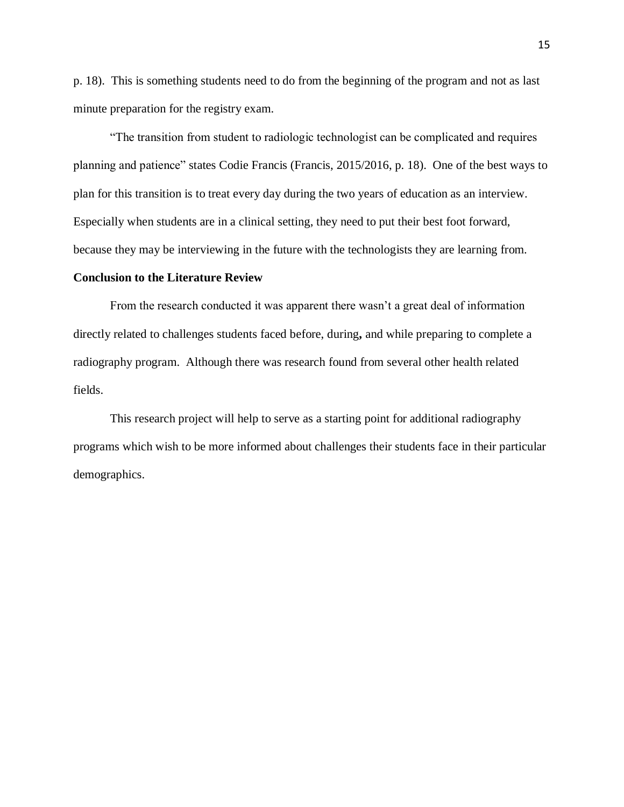p. 18). This is something students need to do from the beginning of the program and not as last minute preparation for the registry exam.

"The transition from student to radiologic technologist can be complicated and requires planning and patience" states Codie Francis (Francis, 2015/2016, p. 18). One of the best ways to plan for this transition is to treat every day during the two years of education as an interview. Especially when students are in a clinical setting, they need to put their best foot forward, because they may be interviewing in the future with the technologists they are learning from.

#### **Conclusion to the Literature Review**

From the research conducted it was apparent there wasn't a great deal of information directly related to challenges students faced before, during**,** and while preparing to complete a radiography program. Although there was research found from several other health related fields.

This research project will help to serve as a starting point for additional radiography programs which wish to be more informed about challenges their students face in their particular demographics.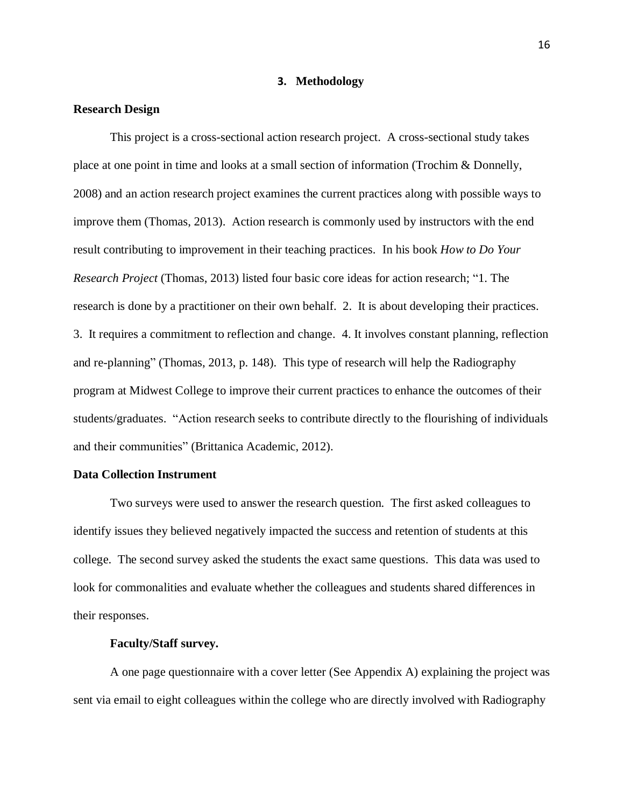# **3. Methodology**

## **Research Design**

This project is a cross-sectional action research project. A cross-sectional study takes place at one point in time and looks at a small section of information (Trochim & Donnelly, 2008) and an action research project examines the current practices along with possible ways to improve them (Thomas, 2013). Action research is commonly used by instructors with the end result contributing to improvement in their teaching practices. In his book *How to Do Your Research Project* (Thomas, 2013) listed four basic core ideas for action research; "1. The research is done by a practitioner on their own behalf. 2. It is about developing their practices. 3. It requires a commitment to reflection and change. 4. It involves constant planning, reflection and re-planning" (Thomas, 2013, p. 148). This type of research will help the Radiography program at Midwest College to improve their current practices to enhance the outcomes of their students/graduates. "Action research seeks to contribute directly to the flourishing of individuals and their communities" (Brittanica Academic, 2012).

## **Data Collection Instrument**

Two surveys were used to answer the research question. The first asked colleagues to identify issues they believed negatively impacted the success and retention of students at this college. The second survey asked the students the exact same questions. This data was used to look for commonalities and evaluate whether the colleagues and students shared differences in their responses.

# **Faculty/Staff survey.**

A one page questionnaire with a cover letter (See Appendix A) explaining the project was sent via email to eight colleagues within the college who are directly involved with Radiography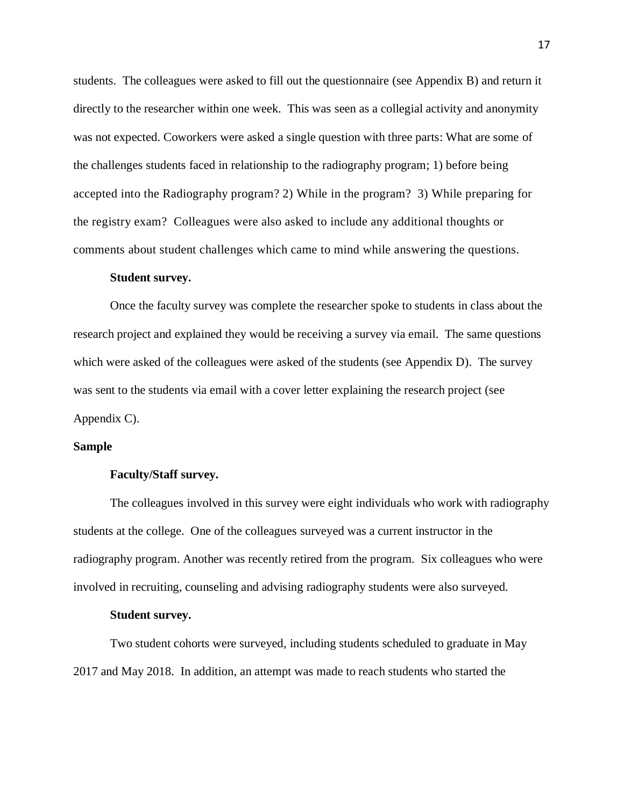students. The colleagues were asked to fill out the questionnaire (see Appendix B) and return it directly to the researcher within one week. This was seen as a collegial activity and anonymity was not expected. Coworkers were asked a single question with three parts: What are some of the challenges students faced in relationship to the radiography program; 1) before being accepted into the Radiography program? 2) While in the program? 3) While preparing for the registry exam? Colleagues were also asked to include any additional thoughts or comments about student challenges which came to mind while answering the questions.

#### **Student survey.**

Once the faculty survey was complete the researcher spoke to students in class about the research project and explained they would be receiving a survey via email. The same questions which were asked of the colleagues were asked of the students (see Appendix D). The survey was sent to the students via email with a cover letter explaining the research project (see Appendix C).

#### **Sample**

#### **Faculty/Staff survey.**

The colleagues involved in this survey were eight individuals who work with radiography students at the college. One of the colleagues surveyed was a current instructor in the radiography program. Another was recently retired from the program. Six colleagues who were involved in recruiting, counseling and advising radiography students were also surveyed.

#### **Student survey.**

Two student cohorts were surveyed, including students scheduled to graduate in May 2017 and May 2018. In addition, an attempt was made to reach students who started the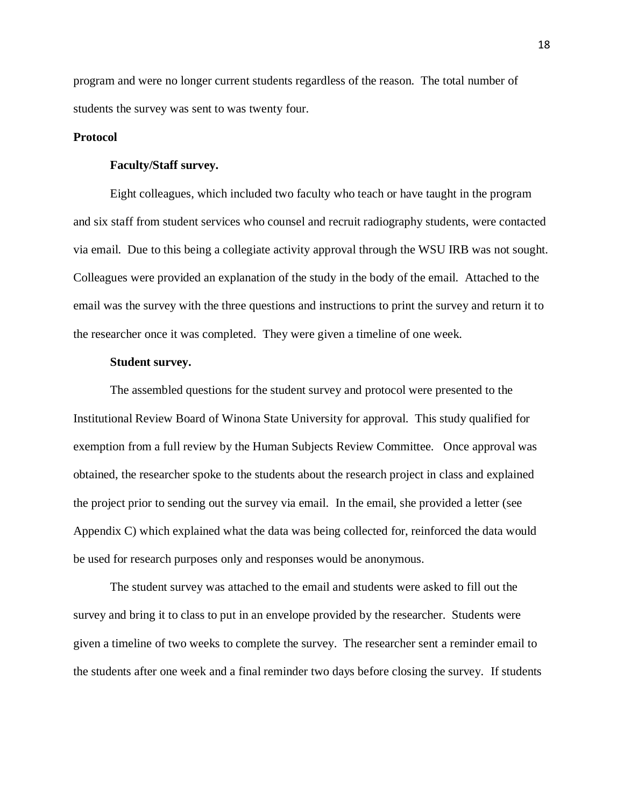program and were no longer current students regardless of the reason. The total number of students the survey was sent to was twenty four.

# **Protocol**

# **Faculty/Staff survey.**

Eight colleagues, which included two faculty who teach or have taught in the program and six staff from student services who counsel and recruit radiography students, were contacted via email. Due to this being a collegiate activity approval through the WSU IRB was not sought. Colleagues were provided an explanation of the study in the body of the email. Attached to the email was the survey with the three questions and instructions to print the survey and return it to the researcher once it was completed. They were given a timeline of one week.

#### **Student survey.**

The assembled questions for the student survey and protocol were presented to the Institutional Review Board of Winona State University for approval. This study qualified for exemption from a full review by the Human Subjects Review Committee. Once approval was obtained, the researcher spoke to the students about the research project in class and explained the project prior to sending out the survey via email. In the email, she provided a letter (see Appendix C) which explained what the data was being collected for, reinforced the data would be used for research purposes only and responses would be anonymous.

The student survey was attached to the email and students were asked to fill out the survey and bring it to class to put in an envelope provided by the researcher. Students were given a timeline of two weeks to complete the survey. The researcher sent a reminder email to the students after one week and a final reminder two days before closing the survey. If students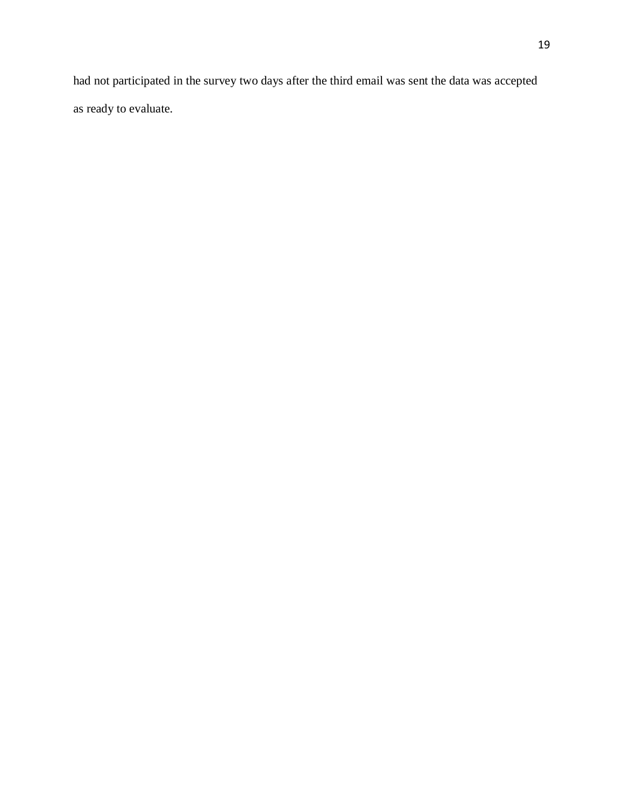had not participated in the survey two days after the third email was sent the data was accepted as ready to evaluate.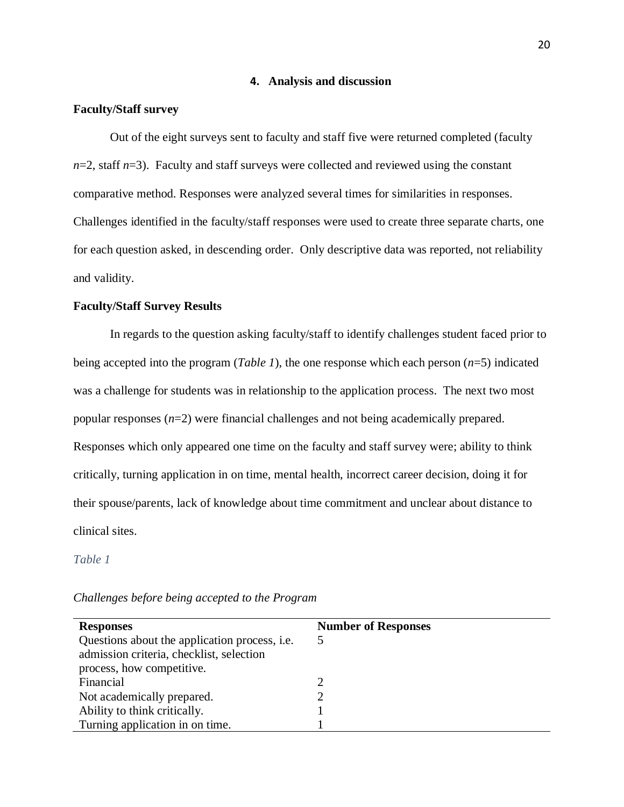## **4. Analysis and discussion**

# **Faculty/Staff survey**

Out of the eight surveys sent to faculty and staff five were returned completed (faculty  $n=2$ , staff  $n=3$ ). Faculty and staff surveys were collected and reviewed using the constant comparative method. Responses were analyzed several times for similarities in responses. Challenges identified in the faculty/staff responses were used to create three separate charts, one for each question asked, in descending order. Only descriptive data was reported, not reliability and validity.

# **Faculty/Staff Survey Results**

In regards to the question asking faculty/staff to identify challenges student faced prior to being accepted into the program (*Table 1*), the one response which each person (*n*=5) indicated was a challenge for students was in relationship to the application process. The next two most popular responses (*n*=2) were financial challenges and not being academically prepared. Responses which only appeared one time on the faculty and staff survey were; ability to think critically, turning application in on time, mental health, incorrect career decision, doing it for their spouse/parents, lack of knowledge about time commitment and unclear about distance to clinical sites.

*Table 1*

| <b>Responses</b>                                     | <b>Number of Responses</b> |
|------------------------------------------------------|----------------------------|
| Questions about the application process, <i>i.e.</i> | $\mathcal{D}$              |
| admission criteria, checklist, selection             |                            |
| process, how competitive.                            |                            |
| Financial                                            | ∍                          |
| Not academically prepared.                           |                            |
| Ability to think critically.                         |                            |
| Turning application in on time.                      |                            |
|                                                      |                            |

*Challenges before being accepted to the Program*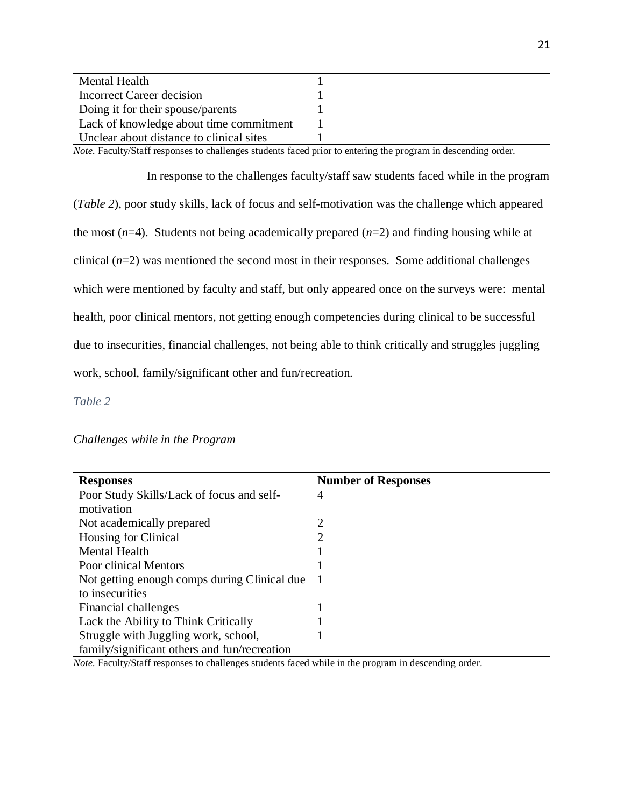| <b>Mental Health</b>                     |  |
|------------------------------------------|--|
| Incorrect Career decision                |  |
| Doing it for their spouse/parents        |  |
| Lack of knowledge about time commitment  |  |
| Unclear about distance to clinical sites |  |

*Note.* Faculty/Staff responses to challenges students faced prior to entering the program in descending order.

In response to the challenges faculty/staff saw students faced while in the program (*Table 2*), poor study skills, lack of focus and self-motivation was the challenge which appeared the most (*n*=4). Students not being academically prepared (*n*=2) and finding housing while at clinical  $(n=2)$  was mentioned the second most in their responses. Some additional challenges which were mentioned by faculty and staff, but only appeared once on the surveys were: mental health, poor clinical mentors, not getting enough competencies during clinical to be successful due to insecurities, financial challenges, not being able to think critically and struggles juggling work, school, family/significant other and fun/recreation.

*Table 2*

*Challenges while in the Program*

| <b>Responses</b>                             | <b>Number of Responses</b> |
|----------------------------------------------|----------------------------|
| Poor Study Skills/Lack of focus and self-    | 4                          |
| motivation                                   |                            |
| Not academically prepared                    | 2                          |
| Housing for Clinical                         | 2                          |
| <b>Mental Health</b>                         |                            |
| Poor clinical Mentors                        |                            |
| Not getting enough comps during Clinical due |                            |
| to insecurities                              |                            |
| Financial challenges                         |                            |
| Lack the Ability to Think Critically         |                            |
| Struggle with Juggling work, school,         |                            |
| family/significant others and fun/recreation |                            |

*Note.* Faculty/Staff responses to challenges students faced while in the program in descending order.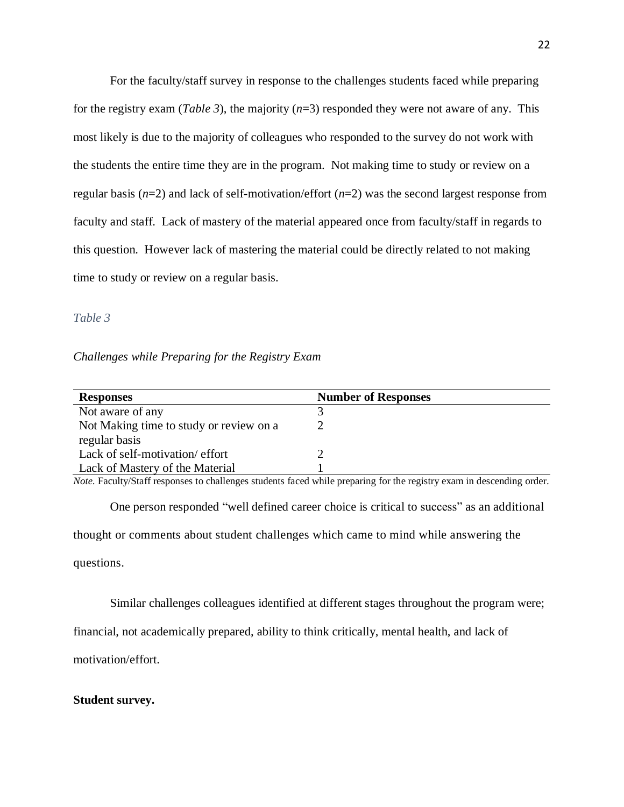For the faculty/staff survey in response to the challenges students faced while preparing for the registry exam (*Table 3*), the majority (*n*=3) responded they were not aware of any. This most likely is due to the majority of colleagues who responded to the survey do not work with the students the entire time they are in the program. Not making time to study or review on a regular basis (*n*=2) and lack of self-motivation/effort (*n*=2) was the second largest response from faculty and staff. Lack of mastery of the material appeared once from faculty/staff in regards to this question. However lack of mastering the material could be directly related to not making time to study or review on a regular basis.

#### *Table 3*

# *Challenges while Preparing for the Registry Exam*

| <b>Responses</b>                        | <b>Number of Responses</b> |
|-----------------------------------------|----------------------------|
| Not aware of any                        |                            |
| Not Making time to study or review on a |                            |
| regular basis                           |                            |
| Lack of self-motivation/effort          |                            |
| Lack of Mastery of the Material         |                            |

*Note.* Faculty/Staff responses to challenges students faced while preparing for the registry exam in descending order.

One person responded "well defined career choice is critical to success" as an additional thought or comments about student challenges which came to mind while answering the questions.

Similar challenges colleagues identified at different stages throughout the program were;

financial, not academically prepared, ability to think critically, mental health, and lack of

motivation/effort.

# **Student survey.**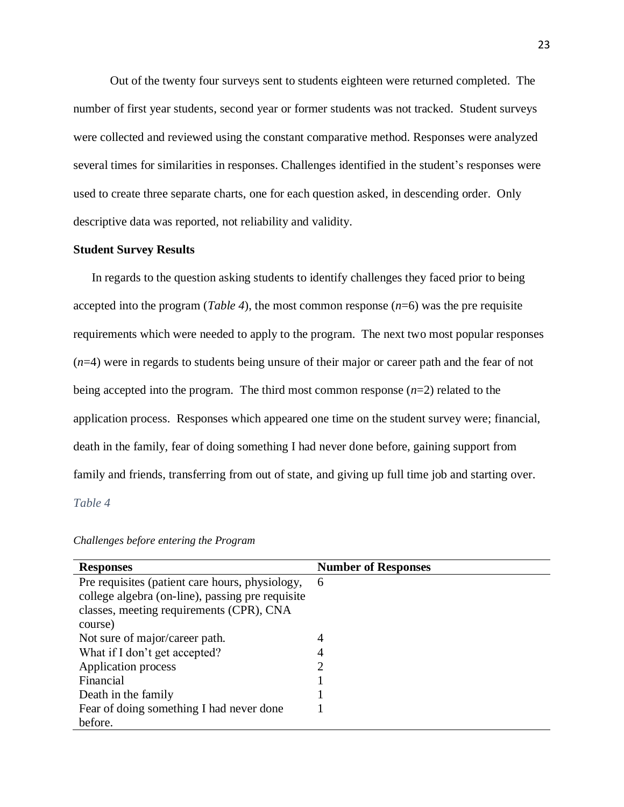Out of the twenty four surveys sent to students eighteen were returned completed. The number of first year students, second year or former students was not tracked. Student surveys were collected and reviewed using the constant comparative method. Responses were analyzed several times for similarities in responses. Challenges identified in the student's responses were used to create three separate charts, one for each question asked, in descending order. Only descriptive data was reported, not reliability and validity.

#### **Student Survey Results**

In regards to the question asking students to identify challenges they faced prior to being accepted into the program (*Table 4*), the most common response (*n*=6) was the pre requisite requirements which were needed to apply to the program. The next two most popular responses (*n*=4) were in regards to students being unsure of their major or career path and the fear of not being accepted into the program. The third most common response (*n*=2) related to the application process. Responses which appeared one time on the student survey were; financial, death in the family, fear of doing something I had never done before, gaining support from family and friends, transferring from out of state, and giving up full time job and starting over.

*Table 4*

| <b>Responses</b>                                 | <b>Number of Responses</b> |
|--------------------------------------------------|----------------------------|
| Pre requisites (patient care hours, physiology,  | 6                          |
| college algebra (on-line), passing pre requisite |                            |
| classes, meeting requirements (CPR), CNA         |                            |
| course)                                          |                            |
| Not sure of major/career path.                   | 4                          |
| What if I don't get accepted?                    | 4                          |
| Application process                              | 2                          |
| Financial                                        |                            |
| Death in the family                              |                            |
| Fear of doing something I had never done         |                            |
| before.                                          |                            |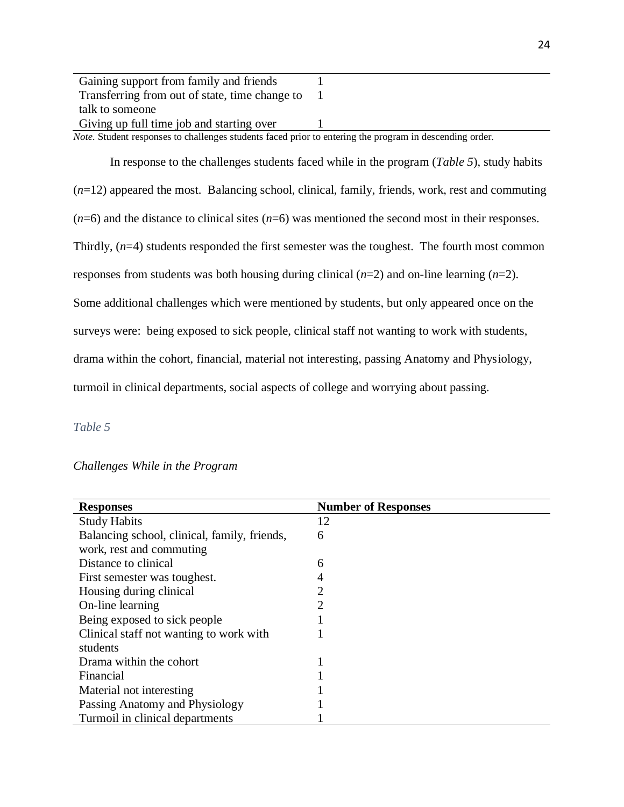| Gaining support from family and friends                                                                 |  |  |
|---------------------------------------------------------------------------------------------------------|--|--|
| Transferring from out of state, time change to                                                          |  |  |
| talk to someone                                                                                         |  |  |
| Giving up full time job and starting over                                                               |  |  |
| Note. Student responses to challenges students faced prior to entering the program in descending order. |  |  |

In response to the challenges students faced while in the program (*Table 5*), study habits (*n*=12) appeared the most. Balancing school, clinical, family, friends, work, rest and commuting  $(n=6)$  and the distance to clinical sites  $(n=6)$  was mentioned the second most in their responses. Thirdly, (*n*=4) students responded the first semester was the toughest. The fourth most common responses from students was both housing during clinical (*n*=2) and on-line learning (*n*=2). Some additional challenges which were mentioned by students, but only appeared once on the surveys were: being exposed to sick people, clinical staff not wanting to work with students, drama within the cohort, financial, material not interesting, passing Anatomy and Physiology, turmoil in clinical departments, social aspects of college and worrying about passing.

# *Table 5*

# *Challenges While in the Program*

| <b>Responses</b>                             | <b>Number of Responses</b> |
|----------------------------------------------|----------------------------|
| <b>Study Habits</b>                          | 12                         |
| Balancing school, clinical, family, friends, | 6                          |
| work, rest and commuting                     |                            |
| Distance to clinical                         | 6                          |
| First semester was toughest.                 | 4                          |
| Housing during clinical                      | $\overline{2}$             |
| On-line learning                             | $\overline{2}$             |
| Being exposed to sick people                 |                            |
| Clinical staff not wanting to work with      |                            |
| students                                     |                            |
| Drama within the cohort                      |                            |
| Financial                                    |                            |
| Material not interesting                     |                            |
| Passing Anatomy and Physiology               |                            |
| Turmoil in clinical departments              |                            |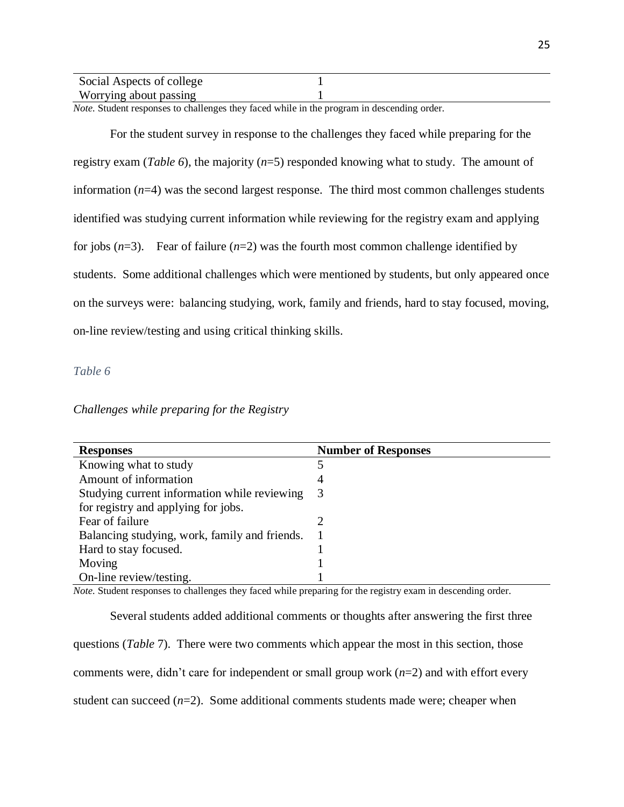| Social Aspects of college |  |  |
|---------------------------|--|--|
| Worrying about passing    |  |  |

*Note.* Student responses to challenges they faced while in the program in descending order.

For the student survey in response to the challenges they faced while preparing for the registry exam (*Table 6*), the majority (*n*=5) responded knowing what to study. The amount of information (*n*=4) was the second largest response. The third most common challenges students identified was studying current information while reviewing for the registry exam and applying for jobs  $(n=3)$ . Fear of failure  $(n=2)$  was the fourth most common challenge identified by students. Some additional challenges which were mentioned by students, but only appeared once on the surveys were: balancing studying, work, family and friends, hard to stay focused, moving, on-line review/testing and using critical thinking skills.

# *Table 6*

*Challenges while preparing for the Registry*

| <b>Responses</b>                              | <b>Number of Responses</b> |
|-----------------------------------------------|----------------------------|
| Knowing what to study                         |                            |
| Amount of information                         | 4                          |
| Studying current information while reviewing  | 3                          |
| for registry and applying for jobs.           |                            |
| Fear of failure                               |                            |
| Balancing studying, work, family and friends. |                            |
| Hard to stay focused.                         |                            |
| Moving                                        |                            |
| On-line review/testing.                       |                            |

*Note.* Student responses to challenges they faced while preparing for the registry exam in descending order.

Several students added additional comments or thoughts after answering the first three questions (*Table* 7). There were two comments which appear the most in this section, those comments were, didn't care for independent or small group work (*n*=2) and with effort every student can succeed  $(n=2)$ . Some additional comments students made were; cheaper when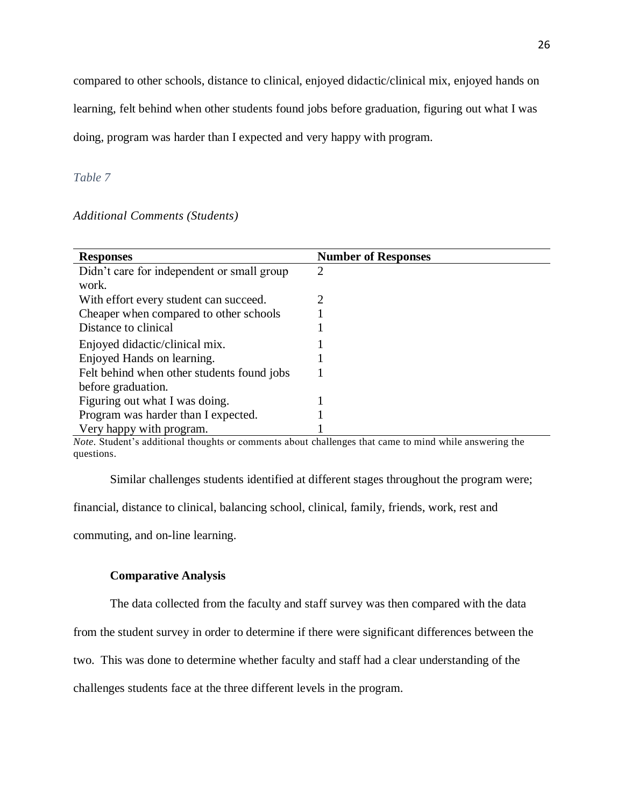compared to other schools, distance to clinical, enjoyed didactic/clinical mix, enjoyed hands on

learning, felt behind when other students found jobs before graduation, figuring out what I was

doing, program was harder than I expected and very happy with program.

#### *Table 7*

## *Additional Comments (Students)*

| <b>Responses</b>                           | <b>Number of Responses</b> |
|--------------------------------------------|----------------------------|
| Didn't care for independent or small group | $\overline{2}$             |
| work.                                      |                            |
| With effort every student can succeed.     | 2                          |
| Cheaper when compared to other schools     |                            |
| Distance to clinical                       |                            |
| Enjoyed didactic/clinical mix.             |                            |
| Enjoyed Hands on learning.                 |                            |
| Felt behind when other students found jobs |                            |
| before graduation.                         |                            |
| Figuring out what I was doing.             |                            |
| Program was harder than I expected.        |                            |
| Very happy with program.                   |                            |

*Note.* Student's additional thoughts or comments about challenges that came to mind while answering the questions.

Similar challenges students identified at different stages throughout the program were;

financial, distance to clinical, balancing school, clinical, family, friends, work, rest and

commuting, and on-line learning.

## **Comparative Analysis**

The data collected from the faculty and staff survey was then compared with the data

from the student survey in order to determine if there were significant differences between the

two. This was done to determine whether faculty and staff had a clear understanding of the

challenges students face at the three different levels in the program.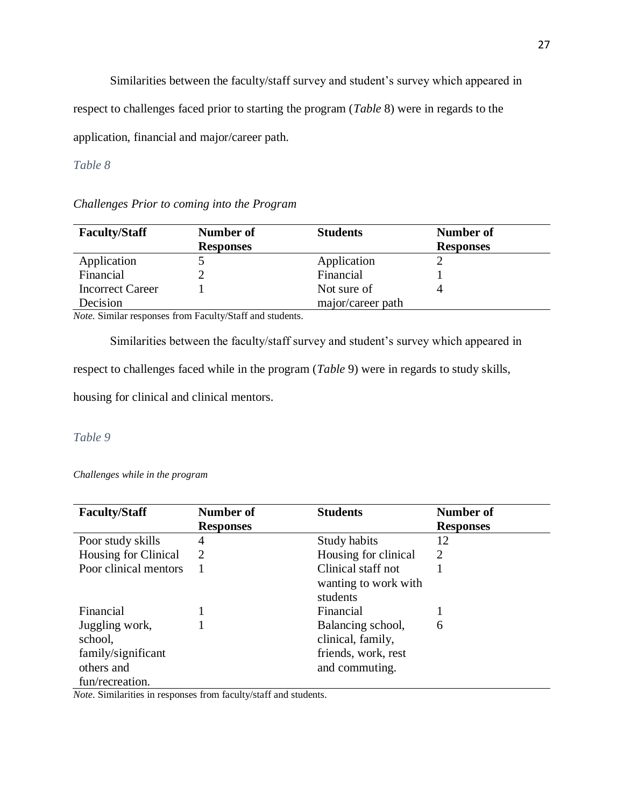Similarities between the faculty/staff survey and student's survey which appeared in

respect to challenges faced prior to starting the program (*Table* 8) were in regards to the

application, financial and major/career path.

# *Table 8*

*Challenges Prior to coming into the Program*

| <b>Faculty/Staff</b>    | Number of        | <b>Students</b>   | Number of        |
|-------------------------|------------------|-------------------|------------------|
|                         | <b>Responses</b> |                   | <b>Responses</b> |
| Application             |                  | Application       |                  |
| Financial               |                  | Financial         |                  |
| <b>Incorrect Career</b> |                  | Not sure of       |                  |
| Decision                |                  | major/career path |                  |

*Note.* Similar responses from Faculty/Staff and students.

Similarities between the faculty/staff survey and student's survey which appeared in

respect to challenges faced while in the program (*Table* 9) were in regards to study skills,

housing for clinical and clinical mentors.

# *Table 9*

*Challenges while in the program*

| <b>Faculty/Staff</b>  | Number of        | <b>Students</b>                  | <b>Number of</b> |
|-----------------------|------------------|----------------------------------|------------------|
|                       | <b>Responses</b> |                                  | <b>Responses</b> |
| Poor study skills     | 4                | Study habits                     | 12               |
| Housing for Clinical  | 2                | Housing for clinical             | 2                |
| Poor clinical mentors |                  | Clinical staff not               |                  |
|                       |                  | wanting to work with<br>students |                  |
| Financial             |                  | Financial                        |                  |
| Juggling work,        |                  | Balancing school,                | 6                |
| school,               |                  | clinical, family,                |                  |
| family/significant    |                  | friends, work, rest              |                  |
| others and            |                  | and commuting.                   |                  |
| fun/recreation.       |                  |                                  |                  |

*Note.* Similarities in responses from faculty/staff and students.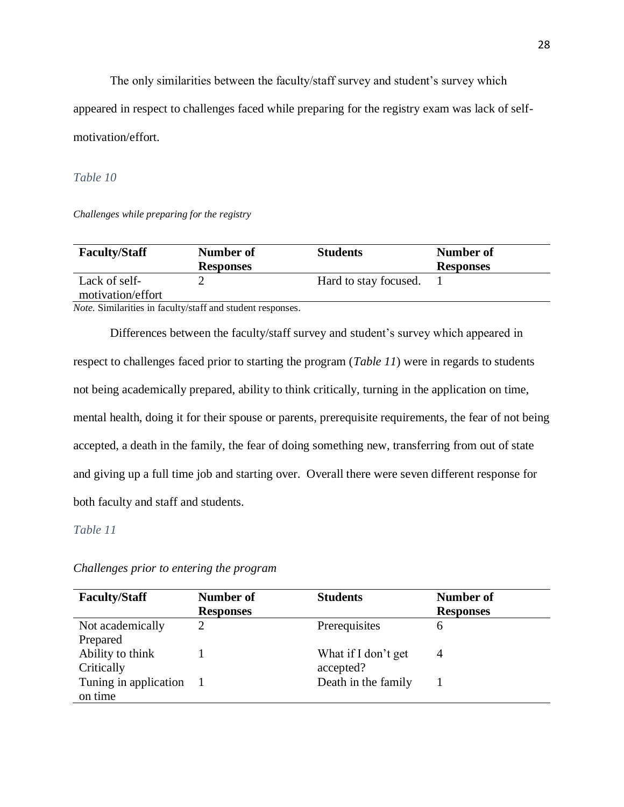The only similarities between the faculty/staff survey and student's survey which appeared in respect to challenges faced while preparing for the registry exam was lack of selfmotivation/effort.

*Table 10*

*Challenges while preparing for the registry*

| <b>Faculty/Staff</b>                                                                                                                                                                                                                                                                           | Number of        | <b>Students</b>       | Number of        |
|------------------------------------------------------------------------------------------------------------------------------------------------------------------------------------------------------------------------------------------------------------------------------------------------|------------------|-----------------------|------------------|
|                                                                                                                                                                                                                                                                                                | <b>Responses</b> |                       | <b>Responses</b> |
| Lack of self-                                                                                                                                                                                                                                                                                  |                  | Hard to stay focused. |                  |
| motivation/effort                                                                                                                                                                                                                                                                              |                  |                       |                  |
| $\mathbf{M}$ and $\mathbf{C}$ is the state of the $\mathbf{C}$ shown in $\mathbf{C}$ and $\mathbf{C}$ and $\mathbf{C}$ and $\mathbf{C}$ and $\mathbf{C}$ and $\mathbf{C}$ and $\mathbf{C}$ and $\mathbf{C}$ and $\mathbf{C}$ and $\mathbf{C}$ and $\mathbf{C}$ and $\mathbf{C}$ and $\mathbf{$ |                  |                       |                  |

*Note.* Similarities in faculty/staff and student responses.

Differences between the faculty/staff survey and student's survey which appeared in respect to challenges faced prior to starting the program (*Table 11*) were in regards to students not being academically prepared, ability to think critically, turning in the application on time, mental health, doing it for their spouse or parents, prerequisite requirements, the fear of not being accepted, a death in the family, the fear of doing something new, transferring from out of state and giving up a full time job and starting over. Overall there were seven different response for both faculty and staff and students.

# *Table 11*

# *Challenges prior to entering the program*

| <b>Faculty/Staff</b>  | Number of        | <b>Students</b>     | Number of        |
|-----------------------|------------------|---------------------|------------------|
|                       | <b>Responses</b> |                     | <b>Responses</b> |
| Not academically      | 2                | Prerequisites       | 6                |
| Prepared              |                  |                     |                  |
| Ability to think      |                  | What if I don't get | 4                |
| Critically            |                  | accepted?           |                  |
| Tuning in application |                  | Death in the family |                  |
| on time               |                  |                     |                  |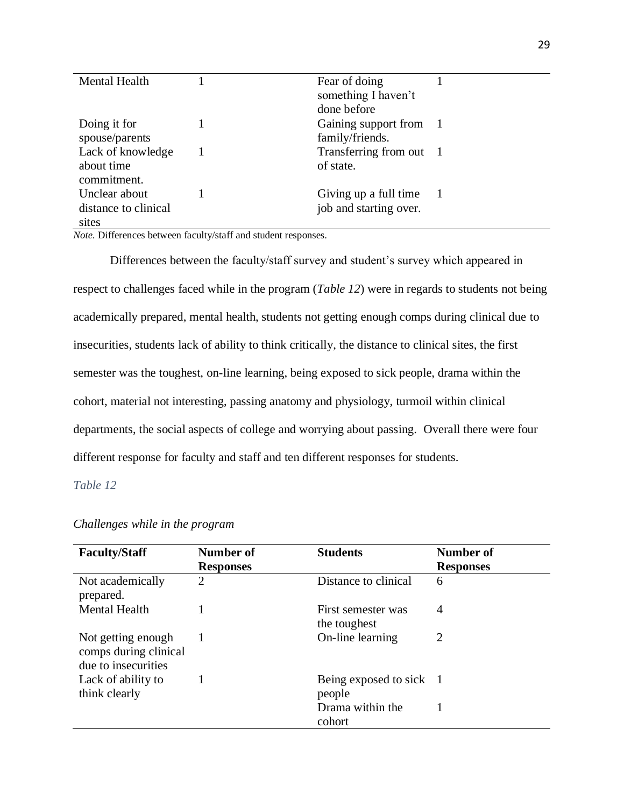| Fear of doing           |                                                                                       |
|-------------------------|---------------------------------------------------------------------------------------|
|                         |                                                                                       |
|                         |                                                                                       |
| Gaining support from 1  |                                                                                       |
| family/friends.         |                                                                                       |
| Transferring from out 1 |                                                                                       |
| of state.               |                                                                                       |
|                         |                                                                                       |
|                         |                                                                                       |
|                         |                                                                                       |
|                         |                                                                                       |
|                         | something I haven't<br>done before<br>Giving up a full time<br>job and starting over. |

*Note.* Differences between faculty/staff and student responses.

Differences between the faculty/staff survey and student's survey which appeared in respect to challenges faced while in the program (*Table 12*) were in regards to students not being academically prepared, mental health, students not getting enough comps during clinical due to insecurities, students lack of ability to think critically, the distance to clinical sites, the first semester was the toughest, on-line learning, being exposed to sick people, drama within the cohort, material not interesting, passing anatomy and physiology, turmoil within clinical departments, the social aspects of college and worrying about passing. Overall there were four different response for faculty and staff and ten different responses for students.

# *Table 12*

| <b>Faculty/Staff</b>                                               | Number of<br><b>Responses</b> | <b>Students</b>                    | Number of<br><b>Responses</b> |
|--------------------------------------------------------------------|-------------------------------|------------------------------------|-------------------------------|
| Not academically<br>prepared.                                      | 2                             | Distance to clinical               | 6                             |
| <b>Mental Health</b>                                               |                               | First semester was<br>the toughest | $\overline{4}$                |
| Not getting enough<br>comps during clinical<br>due to insecurities |                               | On-line learning                   | 2                             |
| Lack of ability to<br>think clearly                                |                               | Being exposed to sick 1<br>people  |                               |
|                                                                    |                               | Drama within the<br>cohort         |                               |

# *Challenges while in the program*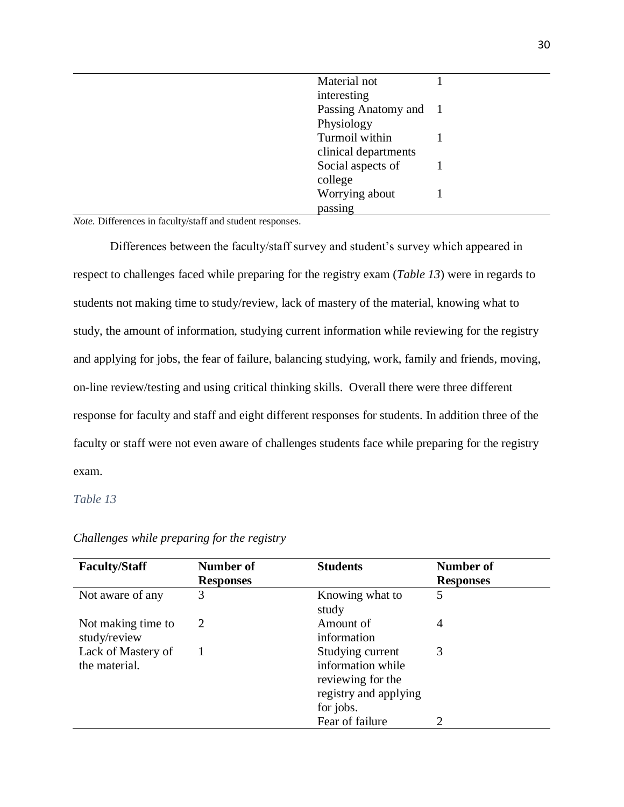| Material not          |  |
|-----------------------|--|
|                       |  |
| interesting           |  |
| Passing Anatomy and 1 |  |
| Physiology            |  |
| Turmoil within        |  |
| clinical departments  |  |
| Social aspects of     |  |
| college               |  |
| Worrying about        |  |
| passing               |  |

*Note.* Differences in faculty/staff and student responses.

Differences between the faculty/staff survey and student's survey which appeared in respect to challenges faced while preparing for the registry exam (*Table 13*) were in regards to students not making time to study/review, lack of mastery of the material, knowing what to study, the amount of information, studying current information while reviewing for the registry and applying for jobs, the fear of failure, balancing studying, work, family and friends, moving, on-line review/testing and using critical thinking skills. Overall there were three different response for faculty and staff and eight different responses for students. In addition three of the faculty or staff were not even aware of challenges students face while preparing for the registry exam.

# *Table 13*

| <b>Faculty/Staff</b>                | Number of        | <b>Students</b>                                                                                  | Number of        |
|-------------------------------------|------------------|--------------------------------------------------------------------------------------------------|------------------|
|                                     | <b>Responses</b> |                                                                                                  | <b>Responses</b> |
| Not aware of any                    | 3                | Knowing what to<br>study                                                                         | 5                |
| Not making time to<br>study/review  | 2                | Amount of<br>information                                                                         | 4                |
| Lack of Mastery of<br>the material. |                  | Studying current<br>information while<br>reviewing for the<br>registry and applying<br>for jobs. | 3                |
|                                     |                  | Fear of failure                                                                                  |                  |

## *Challenges while preparing for the registry*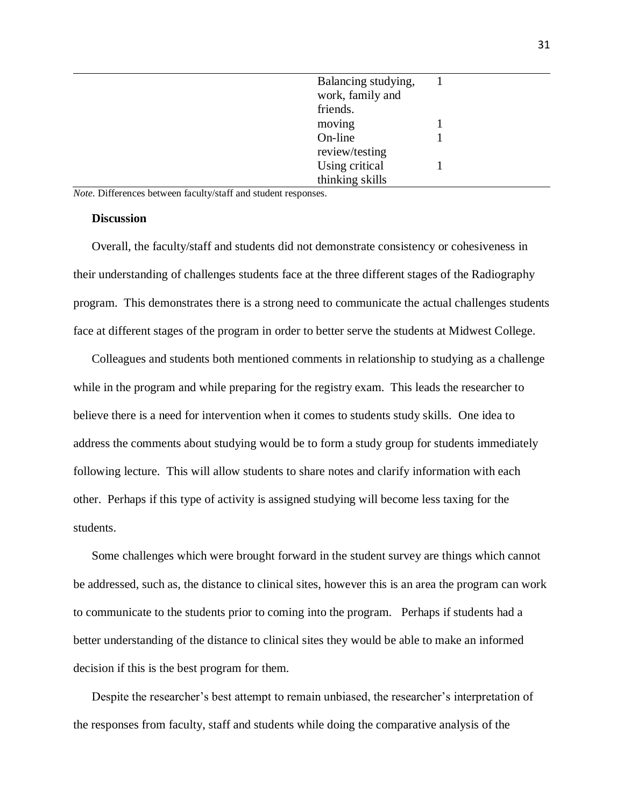| Balancing studying,<br>work, family and |  |
|-----------------------------------------|--|
|                                         |  |
| friends.                                |  |
| moving                                  |  |
| On-line                                 |  |
| review/testing                          |  |
| Using critical                          |  |
| thinking skills                         |  |

*Note.* Differences between faculty/staff and student responses.

# **Discussion**

Overall, the faculty/staff and students did not demonstrate consistency or cohesiveness in their understanding of challenges students face at the three different stages of the Radiography program. This demonstrates there is a strong need to communicate the actual challenges students face at different stages of the program in order to better serve the students at Midwest College.

Colleagues and students both mentioned comments in relationship to studying as a challenge while in the program and while preparing for the registry exam. This leads the researcher to believe there is a need for intervention when it comes to students study skills. One idea to address the comments about studying would be to form a study group for students immediately following lecture. This will allow students to share notes and clarify information with each other. Perhaps if this type of activity is assigned studying will become less taxing for the students.

Some challenges which were brought forward in the student survey are things which cannot be addressed, such as, the distance to clinical sites, however this is an area the program can work to communicate to the students prior to coming into the program. Perhaps if students had a better understanding of the distance to clinical sites they would be able to make an informed decision if this is the best program for them.

Despite the researcher's best attempt to remain unbiased, the researcher's interpretation of the responses from faculty, staff and students while doing the comparative analysis of the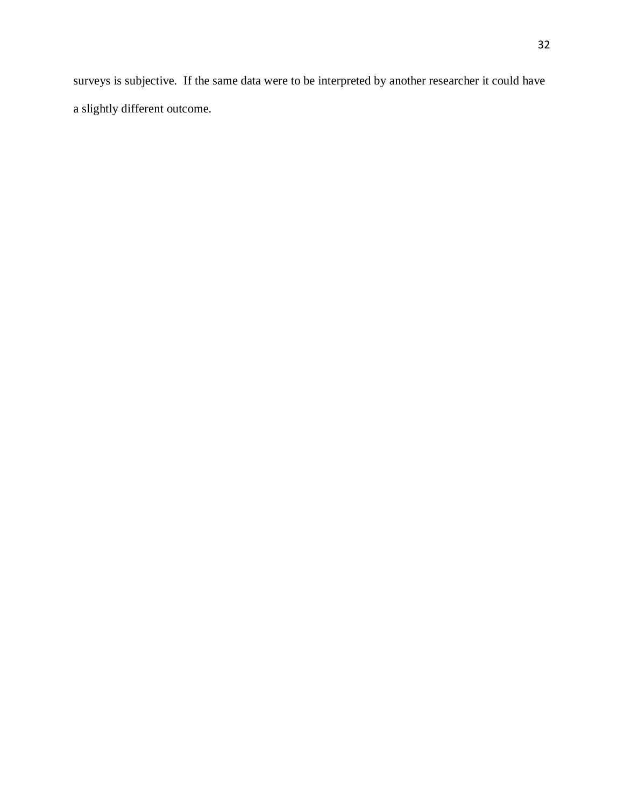surveys is subjective. If the same data were to be interpreted by another researcher it could have a slightly different outcome.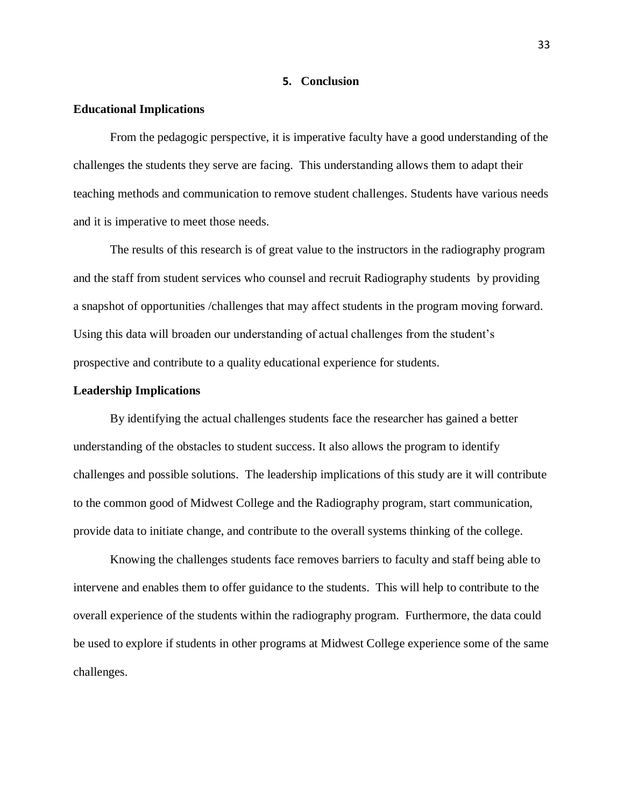#### **5. Conclusion**

## **Educational Implications**

From the pedagogic perspective, it is imperative faculty have a good understanding of the challenges the students they serve are facing. This understanding allows them to adapt their teaching methods and communication to remove student challenges. Students have various needs and it is imperative to meet those needs.

The results of this research is of great value to the instructors in the radiography program and the staff from student services who counsel and recruit Radiography students by providing a snapshot of opportunities /challenges that may affect students in the program moving forward. Using this data will broaden our understanding of actual challenges from the student's prospective and contribute to a quality educational experience for students.

#### **Leadership Implications**

By identifying the actual challenges students face the researcher has gained a better understanding of the obstacles to student success. It also allows the program to identify challenges and possible solutions. The leadership implications of this study are it will contribute to the common good of Midwest College and the Radiography program, start communication, provide data to initiate change, and contribute to the overall systems thinking of the college.

Knowing the challenges students face removes barriers to faculty and staff being able to intervene and enables them to offer guidance to the students. This will help to contribute to the overall experience of the students within the radiography program. Furthermore, the data could be used to explore if students in other programs at Midwest College experience some of the same challenges.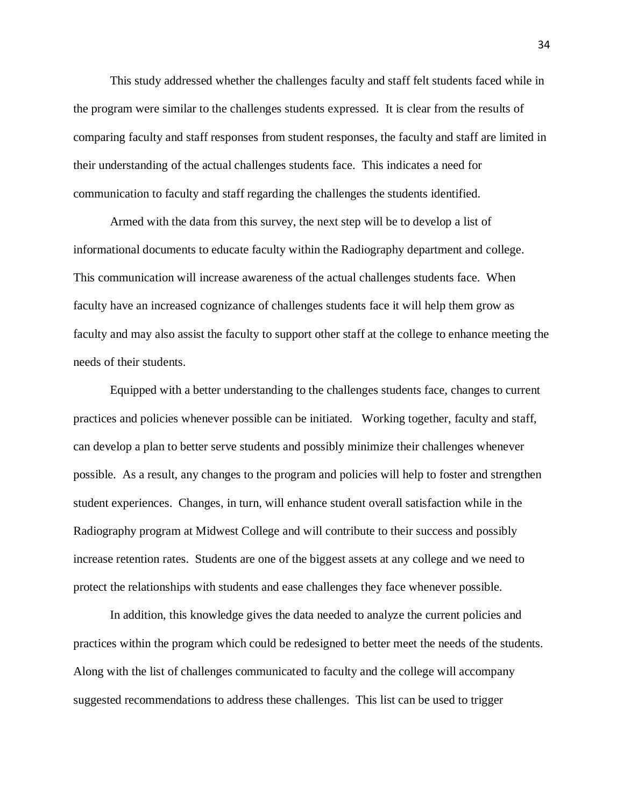This study addressed whether the challenges faculty and staff felt students faced while in the program were similar to the challenges students expressed. It is clear from the results of comparing faculty and staff responses from student responses, the faculty and staff are limited in their understanding of the actual challenges students face. This indicates a need for communication to faculty and staff regarding the challenges the students identified.

Armed with the data from this survey, the next step will be to develop a list of informational documents to educate faculty within the Radiography department and college. This communication will increase awareness of the actual challenges students face. When faculty have an increased cognizance of challenges students face it will help them grow as faculty and may also assist the faculty to support other staff at the college to enhance meeting the needs of their students.

Equipped with a better understanding to the challenges students face, changes to current practices and policies whenever possible can be initiated. Working together, faculty and staff, can develop a plan to better serve students and possibly minimize their challenges whenever possible. As a result, any changes to the program and policies will help to foster and strengthen student experiences. Changes, in turn, will enhance student overall satisfaction while in the Radiography program at Midwest College and will contribute to their success and possibly increase retention rates. Students are one of the biggest assets at any college and we need to protect the relationships with students and ease challenges they face whenever possible.

In addition, this knowledge gives the data needed to analyze the current policies and practices within the program which could be redesigned to better meet the needs of the students. Along with the list of challenges communicated to faculty and the college will accompany suggested recommendations to address these challenges. This list can be used to trigger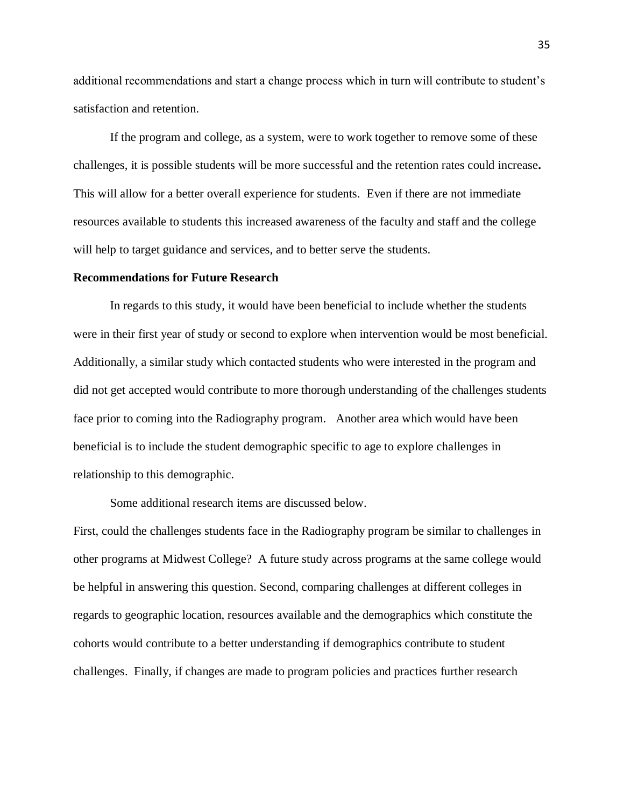additional recommendations and start a change process which in turn will contribute to student's satisfaction and retention.

If the program and college, as a system, were to work together to remove some of these challenges, it is possible students will be more successful and the retention rates could increase**.** This will allow for a better overall experience for students. Even if there are not immediate resources available to students this increased awareness of the faculty and staff and the college will help to target guidance and services, and to better serve the students.

#### **Recommendations for Future Research**

In regards to this study, it would have been beneficial to include whether the students were in their first year of study or second to explore when intervention would be most beneficial. Additionally, a similar study which contacted students who were interested in the program and did not get accepted would contribute to more thorough understanding of the challenges students face prior to coming into the Radiography program. Another area which would have been beneficial is to include the student demographic specific to age to explore challenges in relationship to this demographic.

Some additional research items are discussed below.

First, could the challenges students face in the Radiography program be similar to challenges in other programs at Midwest College? A future study across programs at the same college would be helpful in answering this question. Second, comparing challenges at different colleges in regards to geographic location, resources available and the demographics which constitute the cohorts would contribute to a better understanding if demographics contribute to student challenges. Finally, if changes are made to program policies and practices further research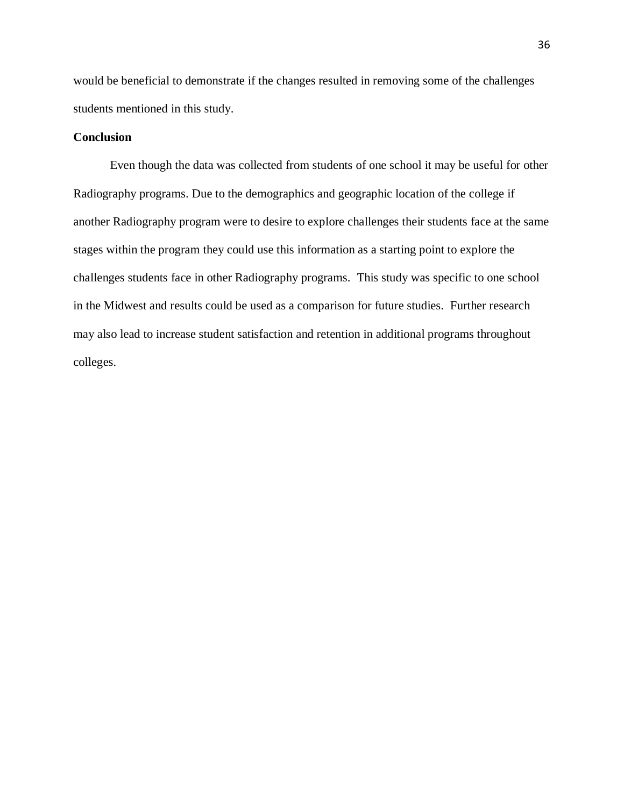would be beneficial to demonstrate if the changes resulted in removing some of the challenges students mentioned in this study.

# **Conclusion**

Even though the data was collected from students of one school it may be useful for other Radiography programs. Due to the demographics and geographic location of the college if another Radiography program were to desire to explore challenges their students face at the same stages within the program they could use this information as a starting point to explore the challenges students face in other Radiography programs. This study was specific to one school in the Midwest and results could be used as a comparison for future studies. Further research may also lead to increase student satisfaction and retention in additional programs throughout colleges.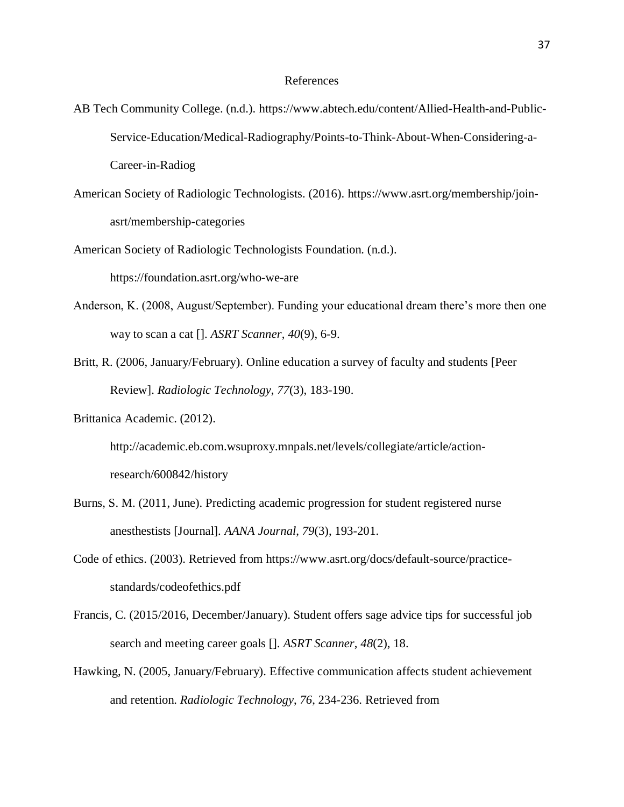## References

- AB Tech Community College. (n.d.). https://www.abtech.edu/content/Allied-Health-and-Public-Service-Education/Medical-Radiography/Points-to-Think-About-When-Considering-a-Career-in-Radiog
- American Society of Radiologic Technologists. (2016). https://www.asrt.org/membership/joinasrt/membership-categories
- American Society of Radiologic Technologists Foundation. (n.d.).

https://foundation.asrt.org/who-we-are

- Anderson, K. (2008, August/September). Funding your educational dream there's more then one way to scan a cat []. *ASRT Scanner*, *40*(9), 6-9.
- Britt, R. (2006, January/February). Online education a survey of faculty and students [Peer Review]. *Radiologic Technology*, *77*(3), 183-190.

Brittanica Academic. (2012).

http://academic.eb.com.wsuproxy.mnpals.net/levels/collegiate/article/actionresearch/600842/history

- Burns, S. M. (2011, June). Predicting academic progression for student registered nurse anesthestists [Journal]. *AANA Journal*, *79*(3), 193-201.
- Code of ethics. (2003). Retrieved from https://www.asrt.org/docs/default-source/practicestandards/codeofethics.pdf
- Francis, C. (2015/2016, December/January). Student offers sage advice tips for successful job search and meeting career goals []. *ASRT Scanner*, *48*(2), 18.
- Hawking, N. (2005, January/February). Effective communication affects student achievement and retention. *Radiologic Technology*, *76*, 234-236. Retrieved from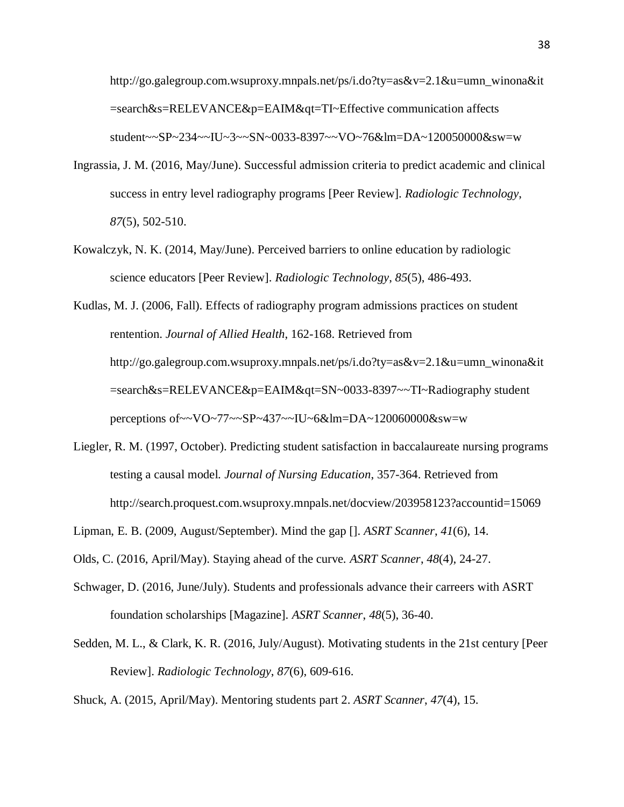http://go.galegroup.com.wsuproxy.mnpals.net/ps/i.do?ty=as&v=2.1&u=umn\_winona&it =search&s=RELEVANCE&p=EAIM&qt=TI~Effective communication affects student~~SP~234~~IU~3~~SN~0033-8397~~VO~76&lm=DA~120050000&sw=w

- Ingrassia, J. M. (2016, May/June). Successful admission criteria to predict academic and clinical success in entry level radiography programs [Peer Review]. *Radiologic Technology*, *87*(5), 502-510.
- Kowalczyk, N. K. (2014, May/June). Perceived barriers to online education by radiologic science educators [Peer Review]. *Radiologic Technology*, *85*(5), 486-493.

Kudlas, M. J. (2006, Fall). Effects of radiography program admissions practices on student rentention. *Journal of Allied Health*, 162-168. Retrieved from http://go.galegroup.com.wsuproxy.mnpals.net/ps/i.do?ty=as&v=2.1&u=umn\_winona&it =search&s=RELEVANCE&p=EAIM&qt=SN~0033-8397~~TI~Radiography student perceptions of~~VO~77~~SP~437~~IU~6&lm=DA~120060000&sw=w

- Liegler, R. M. (1997, October). Predicting student satisfaction in baccalaureate nursing programs testing a causal model. *Journal of Nursing Education*, 357-364. Retrieved from http://search.proquest.com.wsuproxy.mnpals.net/docview/203958123?accountid=15069
- Lipman, E. B. (2009, August/September). Mind the gap []. *ASRT Scanner*, *41*(6), 14.

Olds, C. (2016, April/May). Staying ahead of the curve. *ASRT Scanner*, *48*(4), 24-27.

- Schwager, D. (2016, June/July). Students and professionals advance their carreers with ASRT foundation scholarships [Magazine]. *ASRT Scanner*, *48*(5), 36-40.
- Sedden, M. L., & Clark, K. R. (2016, July/August). Motivating students in the 21st century [Peer Review]. *Radiologic Technology*, *87*(6), 609-616.

Shuck, A. (2015, April/May). Mentoring students part 2. *ASRT Scanner*, *47*(4), 15.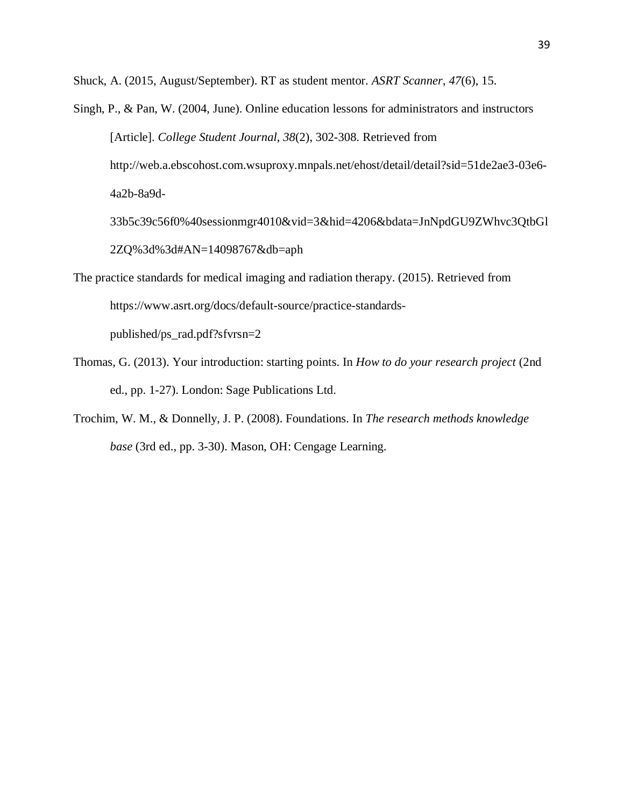Shuck, A. (2015, August/September). RT as student mentor. *ASRT Scanner*, *47*(6), 15.

- Singh, P., & Pan, W. (2004, June). Online education lessons for administrators and instructors [Article]. *College Student Journal*, *38*(2), 302-308. Retrieved from http://web.a.ebscohost.com.wsuproxy.mnpals.net/ehost/detail/detail?sid=51de2ae3-03e6- 4a2b-8a9d-
	- 33b5c39c56f0%40sessionmgr4010&vid=3&hid=4206&bdata=JnNpdGU9ZWhvc3QtbGl 2ZQ%3d%3d#AN=14098767&db=aph
- The practice standards for medical imaging and radiation therapy. (2015). Retrieved from https://www.asrt.org/docs/default-source/practice-standardspublished/ps\_rad.pdf?sfvrsn=2
- Thomas, G. (2013). Your introduction: starting points. In *How to do your research project* (2nd ed., pp. 1-27). London: Sage Publications Ltd.
- Trochim, W. M., & Donnelly, J. P. (2008). Foundations. In *The research methods knowledge base* (3rd ed., pp. 3-30). Mason, OH: Cengage Learning.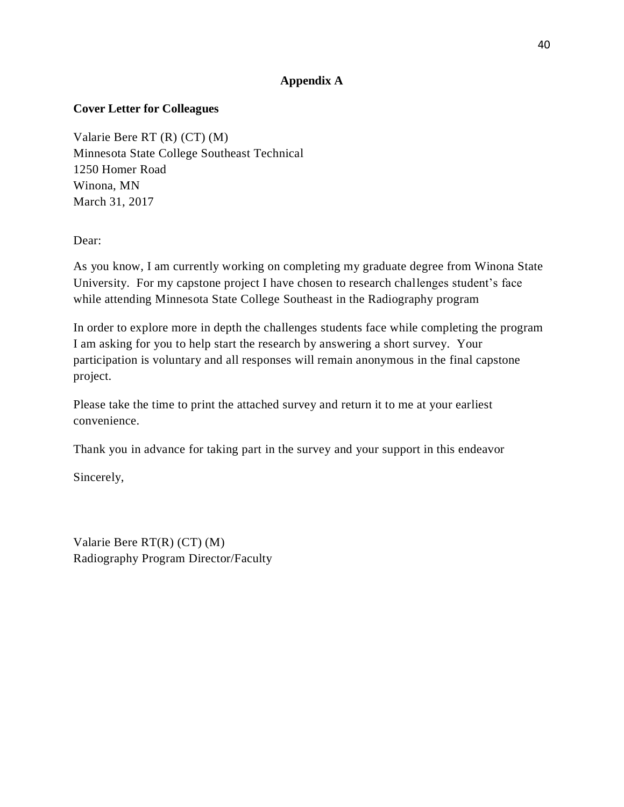# **Appendix A**

# **Cover Letter for Colleagues**

Valarie Bere RT (R) (CT) (M) Minnesota State College Southeast Technical 1250 Homer Road Winona, MN March 31, 2017

Dear:

As you know, I am currently working on completing my graduate degree from Winona State University. For my capstone project I have chosen to research challenges student's face while attending Minnesota State College Southeast in the Radiography program

In order to explore more in depth the challenges students face while completing the program I am asking for you to help start the research by answering a short survey. Your participation is voluntary and all responses will remain anonymous in the final capstone project.

Please take the time to print the attached survey and return it to me at your earliest convenience.

Thank you in advance for taking part in the survey and your support in this endeavor

Sincerely,

Valarie Bere RT(R) (CT) (M) Radiography Program Director/Faculty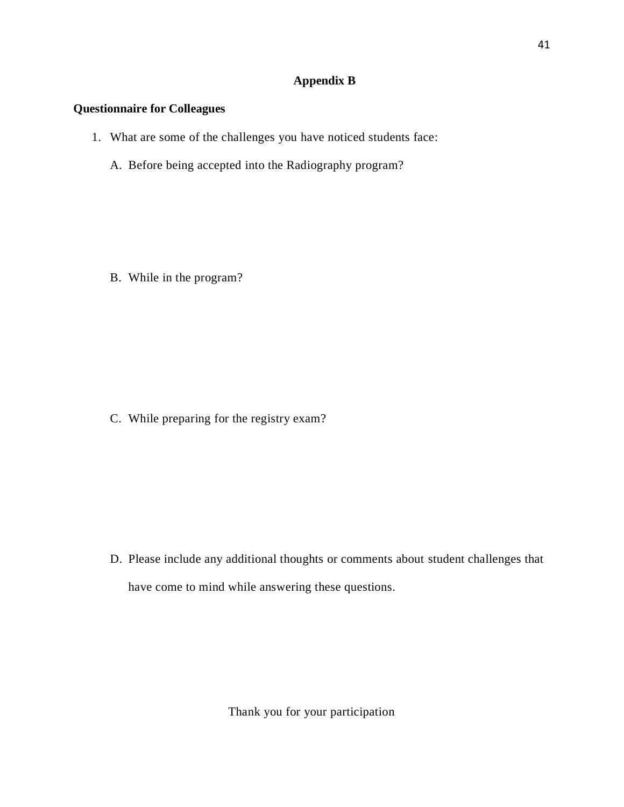# **Appendix B**

# **Questionnaire for Colleagues**

- 1. What are some of the challenges you have noticed students face:
	- A. Before being accepted into the Radiography program?

B. While in the program?

C. While preparing for the registry exam?

D. Please include any additional thoughts or comments about student challenges that have come to mind while answering these questions.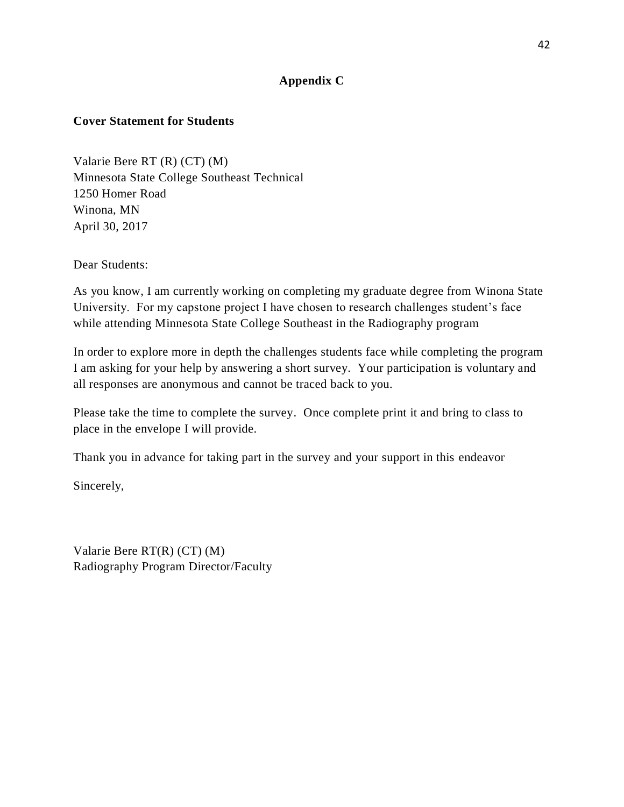# **Appendix C**

# **Cover Statement for Students**

Valarie Bere RT (R) (CT) (M) Minnesota State College Southeast Technical 1250 Homer Road Winona, MN April 30, 2017

Dear Students:

As you know, I am currently working on completing my graduate degree from Winona State University. For my capstone project I have chosen to research challenges student's face while attending Minnesota State College Southeast in the Radiography program

In order to explore more in depth the challenges students face while completing the program I am asking for your help by answering a short survey. Your participation is voluntary and all responses are anonymous and cannot be traced back to you.

Please take the time to complete the survey. Once complete print it and bring to class to place in the envelope I will provide.

Thank you in advance for taking part in the survey and your support in this endeavor

Sincerely,

Valarie Bere RT(R) (CT) (M) Radiography Program Director/Faculty